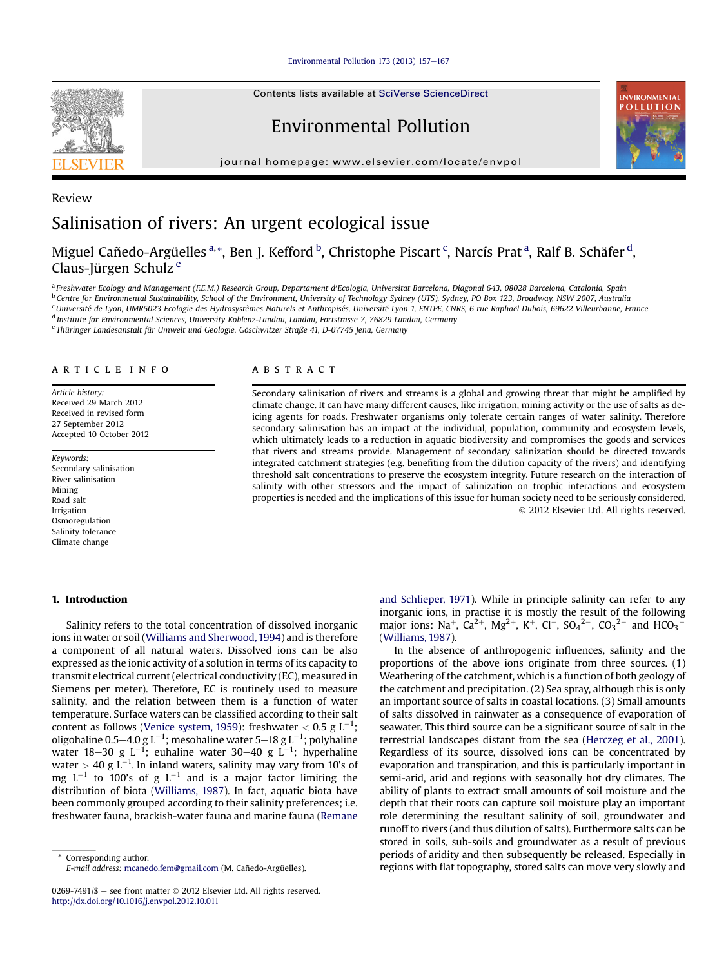Environmental Pollution 173 (2013)  $157-167$  $157-167$ 

Contents lists available at SciVerse ScienceDirect

# Environmental Pollution

journal homepage: [www.elsevier.com/locate/envpol](http://www.elsevier.com/locate/envpol)



# Review Salinisation of rivers: An urgent ecological issue

Miguel Cañedo-Argüelles <sup>a,</sup>\*, Ben J. Kefford <sup>b</sup>, Christophe Piscart <sup>c</sup>, Narcís Prat <sup>a</sup>, Ralf B. Schäfer <sup>d</sup>, Claus-Jürgen Schulz <sup>e</sup>

<sup>a</sup> Freshwater Ecology and Management (F.E.M.) Research Group, Departament d'Ecologia, Universitat Barcelona, Diagonal 643, 08028 Barcelona, Catalonia, Spain <sup>b</sup> Centre for Environmental Sustainability, School of the Environment, University of Technology Sydney (UTS), Sydney, PO Box 123, Broadway, NSW 2007, Australia <sup>c</sup>Université de Lyon, UMR5023 Ecologie des Hydrosystèmes Naturels et Anthropisés, Université Lyon 1, ENTPE, CNRS, 6 rue Raphaël Dubois, 69622 Villeurbanne, France <sup>d</sup> Institute for Environmental Sciences, University Koblenz-Landau, Landau, Fortstrasse 7, 76829 Landau, Germany

<sup>e</sup> Thüringer Landesanstalt für Umwelt und Geologie, Göschwitzer Straße 41, D-07745 Jena, Germany

## article info

Article history: Received 29 March 2012 Received in revised form 27 September 2012 Accepted 10 October 2012

Keywords: Secondary salinisation River salinisation Mining Road salt Irrigation Osmoregulation Salinity tolerance Climate change

#### 1. Introduction

Salinity refers to the total concentration of dissolved inorganic ions in water or soil ([Williams and Sherwood, 1994](#page-10-0)) and is therefore a component of all natural waters. Dissolved ions can be also expressed as the ionic activity of a solution in terms of its capacity to transmit electrical current (electrical conductivity (EC), measured in Siemens per meter). Therefore, EC is routinely used to measure salinity, and the relation between them is a function of water temperature. Surface waters can be classified according to their salt content as follows [\(Venice system, 1959](#page-10-0)): freshwater  $<$  0.5 g L $^{-1};$ oligohaline 0.5–4.0 g L $^{-1}$ ; mesohaline water 5–18 g L $^{-1}$ ; polyhaline water 18–30 g L<sup>-1</sup>; euhaline water 30–40 g L<sup>-1</sup>; hyperhaline water  $> 40$  g L<sup>-1</sup>. In inland waters, salinity may vary from 10's of mg  $L^{-1}$  to 100's of g  $L^{-1}$  and is a major factor limiting the distribution of biota ([Williams, 1987\)](#page-10-0). In fact, aquatic biota have been commonly grouped according to their salinity preferences; i.e. freshwater fauna, brackish-water fauna and marine fauna [\(Remane](#page-9-0)

# **ABSTRACT**

Secondary salinisation of rivers and streams is a global and growing threat that might be amplified by climate change. It can have many different causes, like irrigation, mining activity or the use of salts as deicing agents for roads. Freshwater organisms only tolerate certain ranges of water salinity. Therefore secondary salinisation has an impact at the individual, population, community and ecosystem levels, which ultimately leads to a reduction in aquatic biodiversity and compromises the goods and services that rivers and streams provide. Management of secondary salinization should be directed towards integrated catchment strategies (e.g. benefiting from the dilution capacity of the rivers) and identifying threshold salt concentrations to preserve the ecosystem integrity. Future research on the interaction of salinity with other stressors and the impact of salinization on trophic interactions and ecosystem properties is needed and the implications of this issue for human society need to be seriously considered. 2012 Elsevier Ltd. All rights reserved.

> [and Schlieper, 1971](#page-9-0)). While in principle salinity can refer to any inorganic ions, in practise it is mostly the result of the following major ions: Na<sup>+</sup>, Ca<sup>2+</sup>, Mg<sup>2+</sup>, K<sup>+</sup>, Cl<sup>-</sup>, SO<sub>4</sub><sup>2-</sup>, CO<sub>3</sub><sup>2-</sup> and HCO<sub>3</sub><sup>-</sup> ([Williams, 1987](#page-10-0)).

> In the absence of anthropogenic influences, salinity and the proportions of the above ions originate from three sources. (1) Weathering of the catchment, which is a function of both geology of the catchment and precipitation. (2) Sea spray, although this is only an important source of salts in coastal locations. (3) Small amounts of salts dissolved in rainwater as a consequence of evaporation of seawater. This third source can be a significant source of salt in the terrestrial landscapes distant from the sea ([Herczeg et al., 2001\)](#page-8-0). Regardless of its source, dissolved ions can be concentrated by evaporation and transpiration, and this is particularly important in semi-arid, arid and regions with seasonally hot dry climates. The ability of plants to extract small amounts of soil moisture and the depth that their roots can capture soil moisture play an important role determining the resultant salinity of soil, groundwater and runoff to rivers (and thus dilution of salts). Furthermore salts can be stored in soils, sub-soils and groundwater as a result of previous periods of aridity and then subsequently be released. Especially in regions with flat topography, stored salts can move very slowly and

Corresponding author. E-mail address: [mcanedo.fem@gmail.com](mailto:mcanedo.fem@gmail.com) (M. Cañedo-Argüelles).

<sup>0269-7491/\$ -</sup> see front matter  $\odot$  2012 Elsevier Ltd. All rights reserved. <http://dx.doi.org/10.1016/j.envpol.2012.10.011>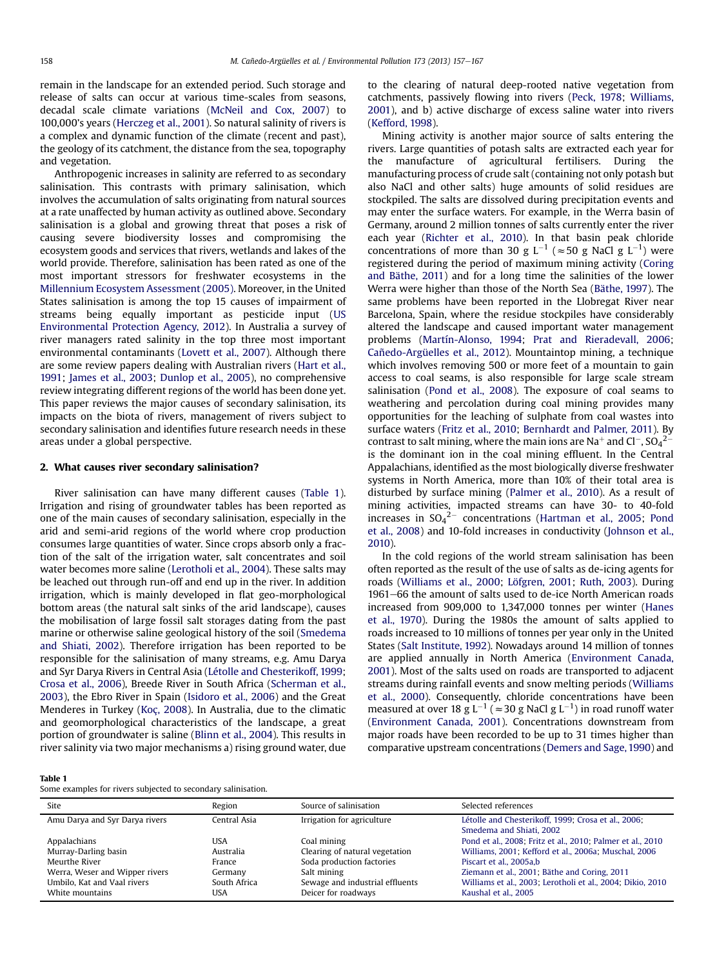remain in the landscape for an extended period. Such storage and release of salts can occur at various time-scales from seasons, decadal scale climate variations ([McNeil and Cox, 2007](#page-9-0)) to 100,000's years ([Herczeg et al., 2001\)](#page-8-0). So natural salinity of rivers is a complex and dynamic function of the climate (recent and past), the geology of its catchment, the distance from the sea, topography and vegetation.

Anthropogenic increases in salinity are referred to as secondary salinisation. This contrasts with primary salinisation, which involves the accumulation of salts originating from natural sources at a rate unaffected by human activity as outlined above. Secondary salinisation is a global and growing threat that poses a risk of causing severe biodiversity losses and compromising the ecosystem goods and services that rivers, wetlands and lakes of the world provide. Therefore, salinisation has been rated as one of the most important stressors for freshwater ecosystems in the [Millennium Ecosystem Assessment \(2005\).](#page-9-0) Moreover, in the United States salinisation is among the top 15 causes of impairment of streams being equally important as pesticide input ([US](#page-10-0) [Environmental Protection Agency, 2012\)](#page-10-0). In Australia a survey of river managers rated salinity in the top three most important environmental contaminants [\(Lovett et al., 2007](#page-9-0)). Although there are some review papers dealing with Australian rivers [\(Hart et al.,](#page-8-0) [1991](#page-8-0); [James et al., 2003;](#page-8-0) [Dunlop et al., 2005\)](#page-8-0), no comprehensive review integrating different regions of the world has been done yet. This paper reviews the major causes of secondary salinisation, its impacts on the biota of rivers, management of rivers subject to secondary salinisation and identifies future research needs in these areas under a global perspective.

### 2. What causes river secondary salinisation?

River salinisation can have many different causes (Table 1). Irrigation and rising of groundwater tables has been reported as one of the main causes of secondary salinisation, especially in the arid and semi-arid regions of the world where crop production consumes large quantities of water. Since crops absorb only a fraction of the salt of the irrigation water, salt concentrates and soil water becomes more saline ([Lerotholi et al., 2004\)](#page-9-0). These salts may be leached out through run-off and end up in the river. In addition irrigation, which is mainly developed in flat geo-morphological bottom areas (the natural salt sinks of the arid landscape), causes the mobilisation of large fossil salt storages dating from the past marine or otherwise saline geological history of the soil ([Smedema](#page-10-0) [and Shiati, 2002\)](#page-10-0). Therefore irrigation has been reported to be responsible for the salinisation of many streams, e.g. Amu Darya and Syr Darya Rivers in Central Asia ([Létolle and Chesterikoff, 1999](#page-9-0); [Crosa et al., 2006\)](#page-7-0), Breede River in South Africa [\(Scherman et al.,](#page-9-0) [2003](#page-9-0)), the Ebro River in Spain [\(Isidoro et al., 2006](#page-8-0)) and the Great Menderes in Turkey ([Koç, 2008\)](#page-9-0). In Australia, due to the climatic and geomorphological characteristics of the landscape, a great portion of groundwater is saline ([Blinn et al., 2004\)](#page-7-0). This results in river salinity via two major mechanisms a) rising ground water, due

to the clearing of natural deep-rooted native vegetation from catchments, passively flowing into rivers [\(Peck, 1978](#page-9-0); [Williams,](#page-10-0) [2001\)](#page-10-0), and b) active discharge of excess saline water into rivers ([Kefford, 1998\)](#page-8-0).

Mining activity is another major source of salts entering the rivers. Large quantities of potash salts are extracted each year for the manufacture of agricultural fertilisers. During the manufacturing process of crude salt (containing not only potash but also NaCl and other salts) huge amounts of solid residues are stockpiled. The salts are dissolved during precipitation events and may enter the surface waters. For example, in the Werra basin of Germany, around 2 million tonnes of salts currently enter the river each year [\(Richter et al., 2010\)](#page-9-0). In that basin peak chloride concentrations of more than 30 g  $L^{-1}$  ( $\approx$ 50 g NaCl g  $L^{-1}$ ) were registered during the period of maximum mining activity [\(Coring](#page-7-0) [and Bäthe, 2011](#page-7-0)) and for a long time the salinities of the lower Werra were higher than those of the North Sea ([Bäthe, 1997](#page-7-0)). The same problems have been reported in the Llobregat River near Barcelona, Spain, where the residue stockpiles have considerably altered the landscape and caused important water management problems ([Martín-Alonso, 1994](#page-9-0); [Prat and Rieradevall, 2006](#page-9-0); [Cañedo-Argüelles et al., 2012\)](#page-7-0). Mountaintop mining, a technique which involves removing 500 or more feet of a mountain to gain access to coal seams, is also responsible for large scale stream salinisation [\(Pond et al., 2008\)](#page-9-0). The exposure of coal seams to weathering and percolation during coal mining provides many opportunities for the leaching of sulphate from coal wastes into surface waters ([Fritz et al., 2010;](#page-8-0) [Bernhardt and Palmer, 2011\)](#page-7-0). By contrast to salt mining, where the main ions are Na $^+$  and Cl $^-$ , SO $_4{}^{2-}$ is the dominant ion in the coal mining effluent. In the Central Appalachians, identified as the most biologically diverse freshwater systems in North America, more than 10% of their total area is disturbed by surface mining [\(Palmer et al., 2010](#page-9-0)). As a result of mining activities, impacted streams can have 30- to 40-fold increases in  $SO_4^2$  concentrations [\(Hartman et al., 2005;](#page-8-0) [Pond](#page-9-0) [et al., 2008\)](#page-9-0) and 10-fold increases in conductivity ([Johnson et al.,](#page-8-0) [2010\)](#page-8-0).

In the cold regions of the world stream salinisation has been often reported as the result of the use of salts as de-icing agents for roads [\(Williams et al., 2000](#page-10-0); [Löfgren, 2001;](#page-9-0) [Ruth, 2003](#page-9-0)). During 1961-66 the amount of salts used to de-ice North American roads increased from 909,000 to 1,347,000 tonnes per winter ([Hanes](#page-8-0) [et al., 1970](#page-8-0)). During the 1980s the amount of salts applied to roads increased to 10 millions of tonnes per year only in the United States [\(Salt Institute, 1992\)](#page-9-0). Nowadays around 14 million of tonnes are applied annually in North America ([Environment Canada,](#page-8-0) [2001\)](#page-8-0). Most of the salts used on roads are transported to adjacent streams during rainfall events and snow melting periods [\(Williams](#page-10-0) [et al., 2000](#page-10-0)). Consequently, chloride concentrations have been measured at over 18 g L<sup>-1</sup> (  $\approx$  30 g NaCl g L<sup>-1</sup>) in road runoff water ([Environment Canada, 2001\)](#page-8-0). Concentrations downstream from major roads have been recorded to be up to 31 times higher than comparative upstream concentrations ([Demers and Sage, 1990\)](#page-8-0) and

Table 1

Some examples for rivers subjected to secondary salinisation.

| Site                           | Region       | Source of salinisation          | Selected references                                        |
|--------------------------------|--------------|---------------------------------|------------------------------------------------------------|
| Amu Darya and Syr Darya rivers | Central Asia | Irrigation for agriculture      | Létolle and Chesterikoff, 1999; Crosa et al., 2006;        |
|                                |              |                                 | Smedema and Shiati, 2002                                   |
| Appalachians                   | USA          | Coal mining                     | Pond et al., 2008; Fritz et al., 2010; Palmer et al., 2010 |
| Murray-Darling basin           | Australia    | Clearing of natural vegetation  | Williams, 2001; Kefford et al., 2006a; Muschal, 2006       |
| Meurthe River                  | France       | Soda production factories       | Piscart et al., 2005a.b                                    |
| Werra, Weser and Wipper rivers | Germany      | Salt mining                     | Ziemann et al., 2001; Bäthe and Coring, 2011               |
| Umbilo. Kat and Vaal rivers    | South Africa | Sewage and industrial effluents | Williams et al., 2003; Lerotholi et al., 2004; Dikio, 2010 |
| White mountains                | USA          | Deicer for roadways             | Kaushal et al., 2005                                       |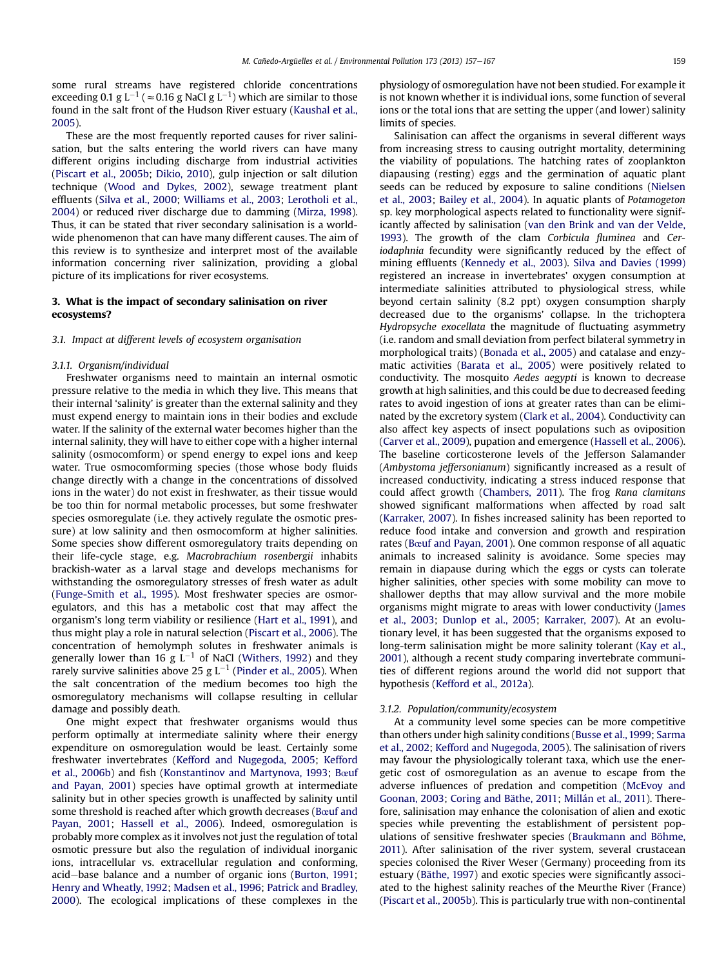some rural streams have registered chloride concentrations exceeding 0.1 g L $^{-1}$  (  $\approx$  0.16 g NaCl g L $^{-1})$  which are similar to those found in the salt front of the Hudson River estuary ([Kaushal et al.,](#page-8-0) [2005\)](#page-8-0).

These are the most frequently reported causes for river salinisation, but the salts entering the world rivers can have many different origins including discharge from industrial activities ([Piscart et al., 2005b](#page-9-0); [Dikio, 2010](#page-8-0)), gulp injection or salt dilution technique ([Wood and Dykes, 2002](#page-10-0)), sewage treatment plant effluents [\(Silva et al., 2000](#page-10-0); [Williams et al., 2003](#page-10-0); [Lerotholi et al.,](#page-9-0) [2004\)](#page-9-0) or reduced river discharge due to damming ([Mirza, 1998\)](#page-9-0). Thus, it can be stated that river secondary salinisation is a worldwide phenomenon that can have many different causes. The aim of this review is to synthesize and interpret most of the available information concerning river salinization, providing a global picture of its implications for river ecosystems.

## 3. What is the impact of secondary salinisation on river ecosystems?

## 3.1. Impact at different levels of ecosystem organisation

#### 3.1.1. Organism/individual

Freshwater organisms need to maintain an internal osmotic pressure relative to the media in which they live. This means that their internal 'salinity' is greater than the external salinity and they must expend energy to maintain ions in their bodies and exclude water. If the salinity of the external water becomes higher than the internal salinity, they will have to either cope with a higher internal salinity (osmocomform) or spend energy to expel ions and keep water. True osmocomforming species (those whose body fluids change directly with a change in the concentrations of dissolved ions in the water) do not exist in freshwater, as their tissue would be too thin for normal metabolic processes, but some freshwater species osmoregulate (i.e. they actively regulate the osmotic pressure) at low salinity and then osmocomform at higher salinities. Some species show different osmoregulatory traits depending on their life-cycle stage, e.g. Macrobrachium rosenbergii inhabits brackish-water as a larval stage and develops mechanisms for withstanding the osmoregulatory stresses of fresh water as adult ([Funge-Smith et al., 1995](#page-8-0)). Most freshwater species are osmoregulators, and this has a metabolic cost that may affect the organism's long term viability or resilience ([Hart et al., 1991\)](#page-8-0), and thus might play a role in natural selection [\(Piscart et al., 2006\)](#page-9-0). The concentration of hemolymph solutes in freshwater animals is generally lower than 16 g  $\mathsf{L}^{-1}$  of NaCl ([Withers, 1992](#page-10-0)) and they rarely survive salinities above 25 g L $^{-1}$  [\(Pinder et al., 2005](#page-9-0)). When the salt concentration of the medium becomes too high the osmoregulatory mechanisms will collapse resulting in cellular damage and possibly death.

One might expect that freshwater organisms would thus perform optimally at intermediate salinity where their energy expenditure on osmoregulation would be least. Certainly some freshwater invertebrates ([Kefford and Nugegoda, 2005;](#page-8-0) [Kefford](#page-8-0) [et al., 2006b\)](#page-8-0) and fish [\(Konstantinov and Martynova, 1993](#page-9-0); [B](#page-7-0)œ[uf](#page-7-0) [and Payan, 2001](#page-7-0)) species have optimal growth at intermediate salinity but in other species growth is unaffected by salinity until some threshold is reached after which growth decreases ([B](#page-7-0)œ[uf and](#page-7-0) [Payan, 2001](#page-7-0); [Hassell et al., 2006](#page-8-0)). Indeed, osmoregulation is probably more complex as it involves not just the regulation of total osmotic pressure but also the regulation of individual inorganic ions, intracellular vs. extracellular regulation and conforming, acid-base balance and a number of organic ions ([Burton, 1991;](#page-7-0) [Henry and Wheatly, 1992;](#page-8-0) [Madsen et al., 1996](#page-9-0); [Patrick and Bradley,](#page-9-0) [2000](#page-9-0)). The ecological implications of these complexes in the physiology of osmoregulation have not been studied. For example it is not known whether it is individual ions, some function of several ions or the total ions that are setting the upper (and lower) salinity limits of species.

Salinisation can affect the organisms in several different ways from increasing stress to causing outright mortality, determining the viability of populations. The hatching rates of zooplankton diapausing (resting) eggs and the germination of aquatic plant seeds can be reduced by exposure to saline conditions [\(Nielsen](#page-9-0) [et al., 2003;](#page-9-0) [Bailey et al., 2004](#page-7-0)). In aquatic plants of Potamogeton sp. key morphological aspects related to functionality were significantly affected by salinisation [\(van den Brink and van der Velde,](#page-10-0) [1993\)](#page-10-0). The growth of the clam Corbicula fluminea and Ceriodaphnia fecundity were significantly reduced by the effect of mining effluents [\(Kennedy et al., 2003](#page-8-0)). [Silva and Davies \(1999\)](#page-10-0) registered an increase in invertebrates' oxygen consumption at intermediate salinities attributed to physiological stress, while beyond certain salinity (8.2 ppt) oxygen consumption sharply decreased due to the organisms' collapse. In the trichoptera Hydropsyche exocellata the magnitude of fluctuating asymmetry (i.e. random and small deviation from perfect bilateral symmetry in morphological traits) [\(Bonada et al., 2005\)](#page-7-0) and catalase and enzymatic activities [\(Barata et al., 2005](#page-7-0)) were positively related to conductivity. The mosquito Aedes aegypti is known to decrease growth at high salinities, and this could be due to decreased feeding rates to avoid ingestion of ions at greater rates than can be eliminated by the excretory system ([Clark et al., 2004](#page-7-0)). Conductivity can also affect key aspects of insect populations such as oviposition ([Carver et al., 2009](#page-7-0)), pupation and emergence ([Hassell et al., 2006\)](#page-8-0). The baseline corticosterone levels of the Jefferson Salamander (Ambystoma jeffersonianum) significantly increased as a result of increased conductivity, indicating a stress induced response that could affect growth [\(Chambers, 2011](#page-7-0)). The frog Rana clamitans showed significant malformations when affected by road salt ([Karraker, 2007\)](#page-8-0). In fishes increased salinity has been reported to reduce food intake and conversion and growth and respiration rates [\(B](#page-7-0)œ[uf and Payan, 2001\)](#page-7-0). One common response of all aquatic animals to increased salinity is avoidance. Some species may remain in diapause during which the eggs or cysts can tolerate higher salinities, other species with some mobility can move to shallower depths that may allow survival and the more mobile organisms might migrate to areas with lower conductivity [\(James](#page-8-0) [et al., 2003](#page-8-0); [Dunlop et al., 2005;](#page-8-0) [Karraker, 2007](#page-8-0)). At an evolutionary level, it has been suggested that the organisms exposed to long-term salinisation might be more salinity tolerant [\(Kay et al.,](#page-8-0) [2001](#page-8-0)), although a recent study comparing invertebrate communities of different regions around the world did not support that hypothesis ([Kefford et al., 2012a](#page-8-0)).

## 3.1.2. Population/community/ecosystem

At a community level some species can be more competitive than others under high salinity conditions [\(Busse et al., 1999](#page-7-0); [Sarma](#page-9-0) [et al., 2002;](#page-9-0) [Kefford and Nugegoda, 2005](#page-8-0)). The salinisation of rivers may favour the physiologically tolerant taxa, which use the energetic cost of osmoregulation as an avenue to escape from the adverse influences of predation and competition [\(McEvoy and](#page-9-0) [Goonan, 2003](#page-9-0); [Coring and Bäthe, 2011;](#page-7-0) [Millán et al., 2011](#page-9-0)). Therefore, salinisation may enhance the colonisation of alien and exotic species while preventing the establishment of persistent populations of sensitive freshwater species ([Braukmann and Böhme,](#page-7-0) [2011](#page-7-0)). After salinisation of the river system, several crustacean species colonised the River Weser (Germany) proceeding from its estuary [\(Bäthe, 1997](#page-7-0)) and exotic species were significantly associated to the highest salinity reaches of the Meurthe River (France) ([Piscart et al., 2005b](#page-9-0)). This is particularly true with non-continental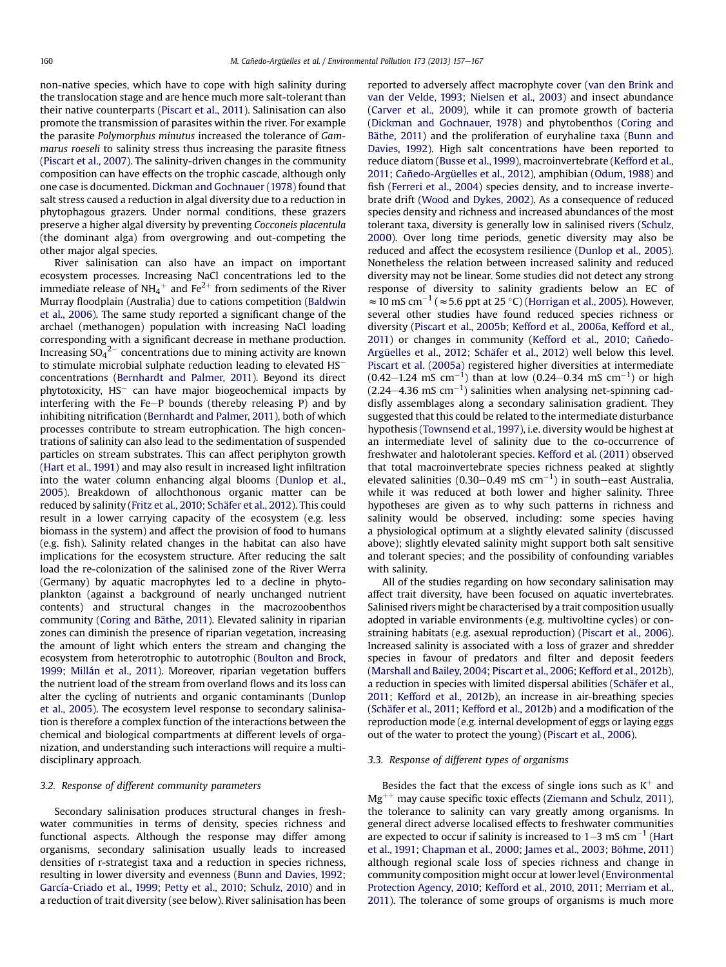non-native species, which have to cope with high salinity during the translocation stage and are hence much more salt-tolerant than their native counterparts [\(Piscart et al., 2011](#page-9-0)). Salinisation can also promote the transmission of parasites within the river. For example the parasite Polymorphus minutus increased the tolerance of Gammarus roeseli to salinity stress thus increasing the parasite fitness ([Piscart et al., 2007\)](#page-9-0). The salinity-driven changes in the community composition can have effects on the trophic cascade, although only one case is documented. [Dickman and Gochnauer \(1978\)](#page-8-0) found that salt stress caused a reduction in algal diversity due to a reduction in phytophagous grazers. Under normal conditions, these grazers preserve a higher algal diversity by preventing Cocconeis placentula (the dominant alga) from overgrowing and out-competing the other major algal species.

River salinisation can also have an impact on important ecosystem processes. Increasing NaCl concentrations led to the immediate release of NH<sub>4</sub><sup>+</sup> and Fe<sup>2+</sup> from sediments of the River Murray floodplain (Australia) due to cations competition ([Baldwin](#page-7-0) [et al., 2006\)](#page-7-0). The same study reported a significant change of the archael (methanogen) population with increasing NaCl loading corresponding with a significant decrease in methane production. Increasing SO $_4{}^{2-}$  concentrations due to mining activity are known to stimulate microbial sulphate reduction leading to elevated HS $^-\,$ concentrations [\(Bernhardt and Palmer, 2011](#page-7-0)). Beyond its direct phytotoxicity, HS<sup>–</sup> can have major biogeochemical impacts by interfering with the Fe $-P$  bounds (thereby releasing P) and by inhibiting nitrification [\(Bernhardt and Palmer, 2011](#page-7-0)), both of which processes contribute to stream eutrophication. The high concentrations of salinity can also lead to the sedimentation of suspended particles on stream substrates. This can affect periphyton growth ([Hart et al., 1991\)](#page-8-0) and may also result in increased light infiltration into the water column enhancing algal blooms [\(Dunlop et al.,](#page-8-0) [2005](#page-8-0)). Breakdown of allochthonous organic matter can be reduced by salinity [\(Fritz et al., 2010;](#page-8-0) [Schäfer et al., 2012](#page-9-0)). This could result in a lower carrying capacity of the ecosystem (e.g. less biomass in the system) and affect the provision of food to humans (e.g. fish). Salinity related changes in the habitat can also have implications for the ecosystem structure. After reducing the salt load the re-colonization of the salinised zone of the River Werra (Germany) by aquatic macrophytes led to a decline in phytoplankton (against a background of nearly unchanged nutrient contents) and structural changes in the macrozoobenthos community [\(Coring and Bäthe, 2011\)](#page-7-0). Elevated salinity in riparian zones can diminish the presence of riparian vegetation, increasing the amount of light which enters the stream and changing the ecosystem from heterotrophic to autotrophic [\(Boulton and Brock,](#page-7-0) [1999](#page-7-0); [Millán et al., 2011](#page-9-0)). Moreover, riparian vegetation buffers the nutrient load of the stream from overland flows and its loss can alter the cycling of nutrients and organic contaminants [\(Dunlop](#page-8-0) [et al., 2005\)](#page-8-0). The ecosystem level response to secondary salinisation is therefore a complex function of the interactions between the chemical and biological compartments at different levels of organization, and understanding such interactions will require a multidisciplinary approach.

#### 3.2. Response of different community parameters

Secondary salinisation produces structural changes in freshwater communities in terms of density, species richness and functional aspects. Although the response may differ among organisms, secondary salinisation usually leads to increased densities of r-strategist taxa and a reduction in species richness, resulting in lower diversity and evenness ([Bunn and Davies, 1992](#page-7-0); [García-Criado et al., 1999](#page-8-0); [Petty et al., 2010;](#page-9-0) [Schulz, 2010](#page-10-0)) and in a reduction of trait diversity (see below). River salinisation has been reported to adversely affect macrophyte cover ([van den Brink and](#page-10-0) [van der Velde, 1993;](#page-10-0) [Nielsen et al., 2003\)](#page-9-0) and insect abundance ([Carver et al., 2009\)](#page-7-0), while it can promote growth of bacteria ([Dickman and Gochnauer, 1978](#page-8-0)) and phytobenthos ([Coring and](#page-7-0) [Bäthe, 2011\)](#page-7-0) and the proliferation of euryhaline taxa [\(Bunn and](#page-7-0) [Davies, 1992](#page-7-0)). High salt concentrations have been reported to reduce diatom ([Busse et al., 1999\)](#page-7-0), macroinvertebrate ([Kefford et al.,](#page-8-0) [2011;](#page-8-0) [Cañedo-Argüelles et al., 2012\)](#page-7-0), amphibian ([Odum, 1988](#page-9-0)) and fish ([Ferreri et al., 2004\)](#page-8-0) species density, and to increase invertebrate drift [\(Wood and Dykes, 2002\)](#page-10-0). As a consequence of reduced species density and richness and increased abundances of the most tolerant taxa, diversity is generally low in salinised rivers [\(Schulz,](#page-10-0) [2000](#page-10-0)). Over long time periods, genetic diversity may also be reduced and affect the ecosystem resilience ([Dunlop et al., 2005\)](#page-8-0). Nonetheless the relation between increased salinity and reduced diversity may not be linear. Some studies did not detect any strong response of diversity to salinity gradients below an EC of  $\approx$  10 mS cm<sup>-1</sup> ( $\approx$  5.6 ppt at 25 °C) ([Horrigan et al., 2005](#page-8-0)). However, several other studies have found reduced species richness or diversity [\(Piscart et al., 2005b](#page-9-0); [Kefford et al., 2006a,](#page-8-0) [Kefford et al.,](#page-8-0) [2011\)](#page-8-0) or changes in community [\(Kefford et al., 2010](#page-8-0); [Cañedo-](#page-7-0)[Argüelles et al., 2012](#page-7-0); [Schäfer et al., 2012](#page-9-0)) well below this level. [Piscart et al. \(2005a\)](#page-9-0) registered higher diversities at intermediate  $(0.42-1.24 \, \text{mS} \, \text{cm}^{-1})$  than at low  $(0.24-0.34 \, \text{mS} \, \text{cm}^{-1})$  or high  $(2.24-4.36 \text{ mS cm}^{-1})$  salinities when analysing net-spinning caddisfly assemblages along a secondary salinisation gradient. They suggested that this could be related to the intermediate disturbance hypothesis [\(Townsend et al., 1997](#page-10-0)), i.e. diversity would be highest at an intermediate level of salinity due to the co-occurrence of freshwater and halotolerant species. [Kefford et al. \(2011\)](#page-8-0) observed that total macroinvertebrate species richness peaked at slightly elevated salinities (0.30–0.49 mS  $cm^{-1}$ ) in south–east Australia, while it was reduced at both lower and higher salinity. Three hypotheses are given as to why such patterns in richness and salinity would be observed, including: some species having a physiological optimum at a slightly elevated salinity (discussed above); slightly elevated salinity might support both salt sensitive and tolerant species; and the possibility of confounding variables with salinity.

All of the studies regarding on how secondary salinisation may affect trait diversity, have been focused on aquatic invertebrates. Salinised rivers might be characterised by a trait composition usually adopted in variable environments (e.g. multivoltine cycles) or constraining habitats (e.g. asexual reproduction) ([Piscart et al., 2006\)](#page-9-0). Increased salinity is associated with a loss of grazer and shredder species in favour of predators and filter and deposit feeders ([Marshall and Bailey, 2004;](#page-9-0) [Piscart et al., 2006;](#page-9-0) [Kefford et al., 2012b\)](#page-8-0), a reduction in species with limited dispersal abilities [\(Schäfer et al.,](#page-9-0) [2011;](#page-9-0) [Kefford et al., 2012b\)](#page-8-0), an increase in air-breathing species ([Schäfer et al., 2011](#page-9-0); [Kefford et al., 2012b\)](#page-8-0) and a modification of the reproduction mode (e.g. internal development of eggs or laying eggs out of the water to protect the young) [\(Piscart et al., 2006\)](#page-9-0).

#### 3.3. Response of different types of organisms

Besides the fact that the excess of single ions such as  $K^+$  and  $Mg^{++}$  may cause specific toxic effects [\(Ziemann and Schulz, 2011\)](#page-10-0), the tolerance to salinity can vary greatly among organisms. In general direct adverse localised effects to freshwater communities are expected to occur if salinity is increased to  $1-3$  mS cm<sup>-1</sup> [\(Hart](#page-8-0) [et al., 1991](#page-8-0); [Chapman et al., 2000;](#page-7-0) [James et al., 2003;](#page-8-0) [Böhme, 2011\)](#page-7-0) although regional scale loss of species richness and change in community composition might occur at lower level ([Environmental](#page-8-0) [Protection Agency, 2010;](#page-8-0) [Kefford et al., 2010, 2011;](#page-8-0) [Merriam et al.,](#page-9-0) [2011\)](#page-9-0). The tolerance of some groups of organisms is much more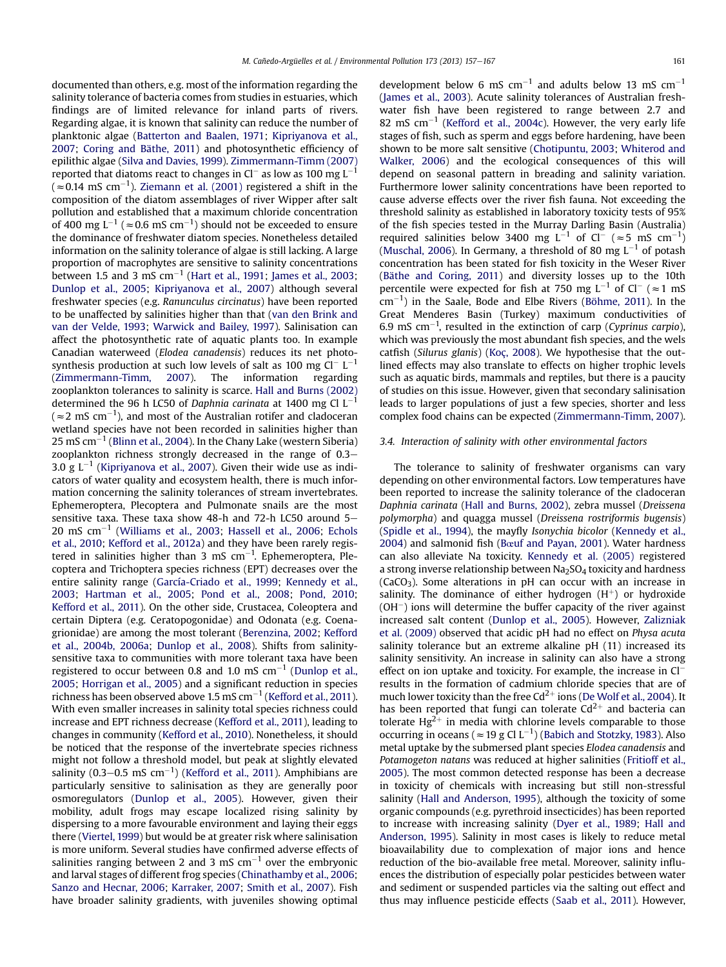documented than others, e.g. most of the information regarding the salinity tolerance of bacteria comes from studies in estuaries, which findings are of limited relevance for inland parts of rivers. Regarding algae, it is known that salinity can reduce the number of planktonic algae [\(Batterton and Baalen, 1971](#page-7-0); [Kipriyanova et al.,](#page-9-0) [2007;](#page-9-0) [Coring and Bäthe, 2011\)](#page-7-0) and photosynthetic efficiency of epilithic algae [\(Silva and Davies, 1999\)](#page-10-0). [Zimmermann-Timm \(2007\)](#page-10-0) reported that diatoms react to changes in Cl $^-$  as low as 100 mg L $^{-1}$ ( $\approx$ 0.14 mS cm $^{-1}$ ). [Ziemann et al. \(2001\)](#page-10-0) registered a shift in the composition of the diatom assemblages of river Wipper after salt pollution and established that a maximum chloride concentration of 400 mg L<sup>-1</sup> ( $\approx$  0.6 mS cm<sup>-1</sup>) should not be exceeded to ensure the dominance of freshwater diatom species. Nonetheless detailed information on the salinity tolerance of algae is still lacking. A large proportion of macrophytes are sensitive to salinity concentrations between 1.5 and 3 mS  $\rm cm^{-1}$  ([Hart et al., 1991](#page-8-0); [James et al., 2003;](#page-8-0) [Dunlop et al., 2005](#page-8-0); [Kipriyanova et al., 2007\)](#page-9-0) although several freshwater species (e.g. Ranunculus circinatus) have been reported to be unaffected by salinities higher than that [\(van den Brink and](#page-10-0) [van der Velde, 1993;](#page-10-0) [Warwick and Bailey, 1997](#page-10-0)). Salinisation can affect the photosynthetic rate of aquatic plants too. In example Canadian waterweed (Elodea canadensis) reduces its net photosynthesis production at such low levels of salt as 100 mg Cl $^-$  L $^{-1}$ ([Zimmermann-Timm, 2007\)](#page-10-0). The information regarding zooplankton tolerances to salinity is scarce. [Hall and Burns \(2002\)](#page-8-0) determined the 96 h LC50 of Daphnia carinata at 1400 mg Cl L<sup>-1</sup> (  $\approx$  2 mS cm<sup>-1</sup>), and most of the Australian rotifer and cladoceran wetland species have not been recorded in salinities higher than 25 mS cm $^{-1}$  [\(Blinn et al., 2004\)](#page-7-0). In the Chany Lake (western Siberia) zooplankton richness strongly decreased in the range of  $0.3-$ 3.0 g L<sup>-1</sup> ([Kipriyanova et al., 2007\)](#page-9-0). Given their wide use as indicators of water quality and ecosystem health, there is much information concerning the salinity tolerances of stream invertebrates. Ephemeroptera, Plecoptera and Pulmonate snails are the most sensitive taxa. These taxa show 48-h and 72-h LC50 around  $5 20 \, \text{m}$ S cm $^{-1}$  [\(Williams et al., 2003;](#page-10-0) [Hassell et al., 2006;](#page-8-0) [Echols](#page-8-0) [et al., 2010;](#page-8-0) [Kefford et al., 2012a\)](#page-8-0) and they have been rarely registered in salinities higher than 3 mS  $cm^{-1}$ . Ephemeroptera, Plecoptera and Trichoptera species richness (EPT) decreases over the entire salinity range ([García-Criado et al., 1999;](#page-8-0) [Kennedy et al.,](#page-8-0) [2003;](#page-8-0) [Hartman et al., 2005;](#page-8-0) [Pond et al., 2008;](#page-9-0) [Pond, 2010;](#page-9-0) [Kefford et al., 2011\)](#page-8-0). On the other side, Crustacea, Coleoptera and certain Diptera (e.g. Ceratopogonidae) and Odonata (e.g. Coenagrionidae) are among the most tolerant [\(Berenzina, 2002](#page-7-0); [Kefford](#page-8-0) [et al., 2004b, 2006a](#page-8-0); [Dunlop et al., 2008](#page-8-0)). Shifts from salinitysensitive taxa to communities with more tolerant taxa have been registered to occur between 0.8 and 1.0 mS  $cm^{-1}$  ([Dunlop et al.,](#page-8-0) [2005;](#page-8-0) [Horrigan et al., 2005\)](#page-8-0) and a significant reduction in species richness has been observed above 1.5 mS cm $^{-1}$  [\(Kefford et al., 2011\)](#page-8-0). With even smaller increases in salinity total species richness could increase and EPT richness decrease [\(Kefford et al., 2011\)](#page-8-0), leading to changes in community [\(Kefford et al., 2010](#page-8-0)). Nonetheless, it should be noticed that the response of the invertebrate species richness might not follow a threshold model, but peak at slightly elevated salinity (0.3–0.5 mS cm $^{-1}$ ) [\(Kefford et al., 2011](#page-8-0)). Amphibians are particularly sensitive to salinisation as they are generally poor osmoregulators ([Dunlop et al., 2005](#page-8-0)). However, given their mobility, adult frogs may escape localized rising salinity by dispersing to a more favourable environment and laying their eggs there [\(Viertel, 1999](#page-10-0)) but would be at greater risk where salinisation is more uniform. Several studies have confirmed adverse effects of salinities ranging between 2 and 3 mS  $cm^{-1}$  over the embryonic and larval stages of different frog species [\(Chinathamby et al., 2006;](#page-7-0) [Sanzo and Hecnar, 2006](#page-9-0); [Karraker, 2007](#page-8-0); [Smith et al., 2007\)](#page-10-0). Fish have broader salinity gradients, with juveniles showing optimal

development below 6 mS  $cm^{-1}$  and adults below 13 mS  $cm^{-1}$ ([James et al., 2003](#page-8-0)). Acute salinity tolerances of Australian freshwater fish have been registered to range between 2.7 and 82 mS  $cm^{-1}$  [\(Kefford et al., 2004c](#page-8-0)). However, the very early life stages of fish, such as sperm and eggs before hardening, have been shown to be more salt sensitive ([Chotipuntu, 2003](#page-7-0); [Whiterod and](#page-10-0) [Walker, 2006](#page-10-0)) and the ecological consequences of this will depend on seasonal pattern in breading and salinity variation. Furthermore lower salinity concentrations have been reported to cause adverse effects over the river fish fauna. Not exceeding the threshold salinity as established in laboratory toxicity tests of 95% of the fish species tested in the Murray Darling Basin (Australia) required salinities below 3400 mg L<sup>-1</sup> of Cl<sup>-</sup> ( $\approx$ 5 mS cm<sup>-1</sup>) ([Muschal, 2006](#page-9-0)). In Germany, a threshold of 80 mg  $L^{-1}$  of potash concentration has been stated for fish toxicity in the Weser River ([Bäthe and Coring, 2011](#page-7-0)) and diversity losses up to the 10th percentile were expected for fish at 750 mg  $L^{-1}$  of Cl<sup>-</sup> ( $\approx$ 1 mS cm-1 ) in the Saale, Bode and Elbe Rivers [\(Böhme, 2011](#page-7-0)). In the Great Menderes Basin (Turkey) maximum conductivities of 6.9 mS cm<sup>-1</sup>, resulted in the extinction of carp (Cyprinus carpio), which was previously the most abundant fish species, and the wels catfish (Silurus glanis) [\(Koç, 2008\)](#page-9-0). We hypothesise that the outlined effects may also translate to effects on higher trophic levels such as aquatic birds, mammals and reptiles, but there is a paucity of studies on this issue. However, given that secondary salinisation leads to larger populations of just a few species, shorter and less complex food chains can be expected ([Zimmermann-Timm, 2007\)](#page-10-0).

#### 3.4. Interaction of salinity with other environmental factors

The tolerance to salinity of freshwater organisms can vary depending on other environmental factors. Low temperatures have been reported to increase the salinity tolerance of the cladoceran Daphnia carinata ([Hall and Burns, 2002](#page-8-0)), zebra mussel (Dreissena polymorpha) and quagga mussel (Dreissena rostriformis bugensis) ([Spidle et al., 1994](#page-10-0)), the mayfly Isonychia bicolor [\(Kennedy et al.,](#page-8-0) [2004\)](#page-8-0) and salmonid fish ([B](#page-7-0)œ[uf and Payan, 2001](#page-7-0)). Water hardness can also alleviate Na toxicity. [Kennedy et al. \(2005\)](#page-8-0) registered a strong inverse relationship between Na<sub>2</sub>SO<sub>4</sub> toxicity and hardness  $(CaCO<sub>3</sub>)$ . Some alterations in pH can occur with an increase in salinity. The dominance of either hydrogen  $(H^+)$  or hydroxide  $(OH<sup>-</sup>)$  ions will determine the buffer capacity of the river against increased salt content [\(Dunlop et al., 2005](#page-8-0)). However, [Zalizniak](#page-10-0) [et al. \(2009\)](#page-10-0) observed that acidic pH had no effect on Physa acuta salinity tolerance but an extreme alkaline pH (11) increased its salinity sensitivity. An increase in salinity can also have a strong effect on ion uptake and toxicity. For example, the increase in Cl<sup>-</sup> results in the formation of cadmium chloride species that are of much lower toxicity than the free  $Cd^{2+}$  ions ([De Wolf et al., 2004](#page-7-0)). It has been reported that fungi can tolerate  $Cd^{2+}$  and bacteria can tolerate  $Hg^{2+}$  in media with chlorine levels comparable to those occurring in oceans ( $\approx$  19 g Cl L<sup>-1</sup>) [\(Babich and Stotzky, 1983](#page-7-0)). Also metal uptake by the submersed plant species Elodea canadensis and Potamogeton natans was reduced at higher salinities ([Fritioff et al.,](#page-8-0) [2005\)](#page-8-0). The most common detected response has been a decrease in toxicity of chemicals with increasing but still non-stressful salinity [\(Hall and Anderson, 1995](#page-8-0)), although the toxicity of some organic compounds (e.g. pyrethroid insecticides) has been reported to increase with increasing salinity ([Dyer et al., 1989](#page-8-0); [Hall and](#page-8-0) [Anderson, 1995\)](#page-8-0). Salinity in most cases is likely to reduce metal bioavailability due to complexation of major ions and hence reduction of the bio-available free metal. Moreover, salinity influences the distribution of especially polar pesticides between water and sediment or suspended particles via the salting out effect and thus may influence pesticide effects [\(Saab et al., 2011\)](#page-9-0). However,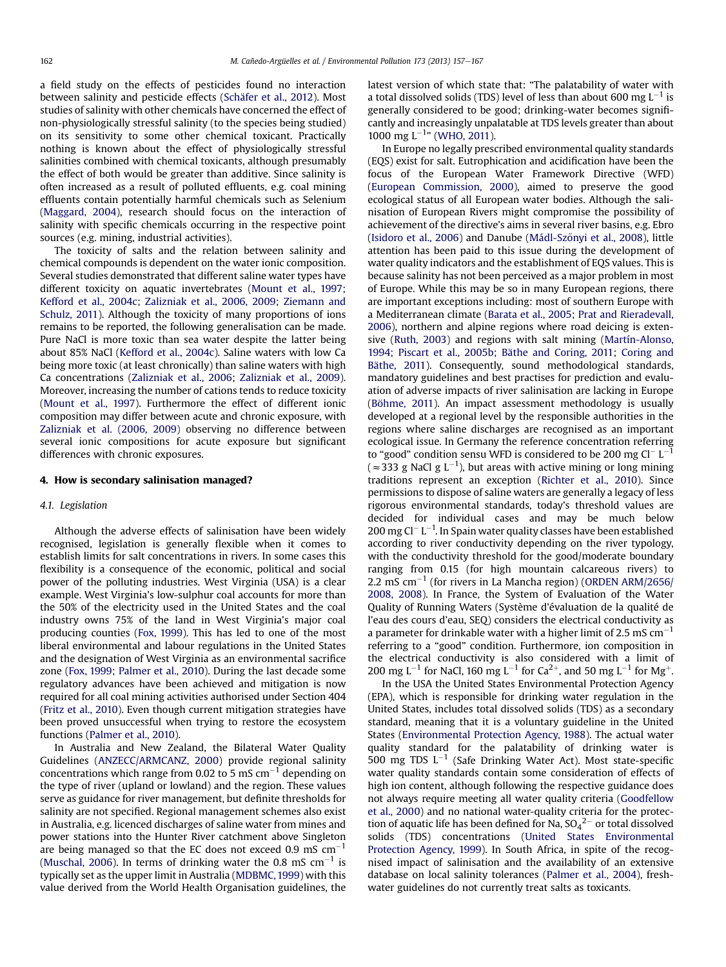a field study on the effects of pesticides found no interaction between salinity and pesticide effects ([Schäfer et al., 2012\)](#page-9-0). Most studies of salinity with other chemicals have concerned the effect of non-physiologically stressful salinity (to the species being studied) on its sensitivity to some other chemical toxicant. Practically nothing is known about the effect of physiologically stressful salinities combined with chemical toxicants, although presumably the effect of both would be greater than additive. Since salinity is often increased as a result of polluted effluents, e.g. coal mining effluents contain potentially harmful chemicals such as Selenium ([Maggard, 2004](#page-9-0)), research should focus on the interaction of salinity with specific chemicals occurring in the respective point sources (e.g. mining, industrial activities).

The toxicity of salts and the relation between salinity and chemical compounds is dependent on the water ionic composition. Several studies demonstrated that different saline water types have different toxicity on aquatic invertebrates [\(Mount et al., 1997](#page-9-0); [Kefford et al., 2004c;](#page-8-0) [Zalizniak et al., 2006, 2009](#page-10-0); [Ziemann and](#page-10-0) [Schulz, 2011\)](#page-10-0). Although the toxicity of many proportions of ions remains to be reported, the following generalisation can be made. Pure NaCl is more toxic than sea water despite the latter being about 85% NaCl [\(Kefford et al., 2004c\)](#page-8-0). Saline waters with low Ca being more toxic (at least chronically) than saline waters with high Ca concentrations [\(Zalizniak et al., 2006](#page-10-0); [Zalizniak et al., 2009\)](#page-10-0). Moreover, increasing the number of cations tends to reduce toxicity ([Mount et al., 1997\)](#page-9-0). Furthermore the effect of different ionic composition may differ between acute and chronic exposure, with [Zalizniak et al. \(2006, 2009\)](#page-10-0) observing no difference between several ionic compositions for acute exposure but significant differences with chronic exposures.

#### 4. How is secondary salinisation managed?

#### 4.1. Legislation

Although the adverse effects of salinisation have been widely recognised, legislation is generally flexible when it comes to establish limits for salt concentrations in rivers. In some cases this flexibility is a consequence of the economic, political and social power of the polluting industries. West Virginia (USA) is a clear example. West Virginia's low-sulphur coal accounts for more than the 50% of the electricity used in the United States and the coal industry owns 75% of the land in West Virginia's major coal producing counties [\(Fox, 1999\)](#page-8-0). This has led to one of the most liberal environmental and labour regulations in the United States and the designation of West Virginia as an environmental sacrifice zone [\(Fox, 1999;](#page-8-0) [Palmer et al., 2010\)](#page-9-0). During the last decade some regulatory advances have been achieved and mitigation is now required for all coal mining activities authorised under Section 404 ([Fritz et al., 2010\)](#page-8-0). Even though current mitigation strategies have been proved unsuccessful when trying to restore the ecosystem functions [\(Palmer et al., 2010](#page-9-0)).

In Australia and New Zealand, the Bilateral Water Quality Guidelines ([ANZECC/ARMCANZ, 2000](#page-7-0)) provide regional salinity concentrations which range from 0.02 to 5 mS cm $^{-1}$  depending on the type of river (upland or lowland) and the region. These values serve as guidance for river management, but definite thresholds for salinity are not specified. Regional management schemes also exist in Australia, e.g. licenced discharges of saline water from mines and power stations into the Hunter River catchment above Singleton are being managed so that the EC does not exceed 0.9 mS  $cm^{-1}$ ([Muschal, 2006](#page-9-0)). In terms of drinking water the 0.8 mS  $\rm cm^{-1}$  is typically set as the upper limit in Australia [\(MDBMC, 1999\)](#page-9-0) with this value derived from the World Health Organisation guidelines, the

latest version of which state that: "The palatability of water with a total dissolved solids (TDS) level of less than about 600 mg  $\mathsf{L}^{-1}$  is generally considered to be good; drinking-water becomes significantly and increasingly unpalatable at TDS levels greater than about 1000 mg  $L^{-1}$ " [\(WHO, 2011](#page-10-0)).

In Europe no legally prescribed environmental quality standards (EQS) exist for salt. Eutrophication and acidification have been the focus of the European Water Framework Directive (WFD) ([European Commission, 2000](#page-8-0)), aimed to preserve the good ecological status of all European water bodies. Although the salinisation of European Rivers might compromise the possibility of achievement of the directive's aims in several river basins, e.g. Ebro ([Isidoro et al., 2006\)](#page-8-0) and Danube (Mádl-Szőnyi et al., 2008), little attention has been paid to this issue during the development of water quality indicators and the establishment of EQS values. This is because salinity has not been perceived as a major problem in most of Europe. While this may be so in many European regions, there are important exceptions including: most of southern Europe with a Mediterranean climate ([Barata et al., 2005](#page-7-0); [Prat and Rieradevall,](#page-9-0) [2006](#page-9-0)), northern and alpine regions where road deicing is extensive [\(Ruth, 2003\)](#page-9-0) and regions with salt mining [\(Martín-Alonso,](#page-9-0) [1994](#page-9-0); [Piscart et al., 2005b](#page-9-0); [Bäthe and Coring, 2011](#page-7-0); [Coring and](#page-7-0) [Bäthe, 2011](#page-7-0)). Consequently, sound methodological standards, mandatory guidelines and best practises for prediction and evaluation of adverse impacts of river salinisation are lacking in Europe ([Böhme, 2011\)](#page-7-0). An impact assessment methodology is usually developed at a regional level by the responsible authorities in the regions where saline discharges are recognised as an important ecological issue. In Germany the reference concentration referring to "good" condition sensu WFD is considered to be 200 mg Cl<sup>-</sup> L<sup>-1</sup> ( $\approx$ 333 g NaCl g L<sup>-1</sup>), but areas with active mining or long mining traditions represent an exception [\(Richter et al., 2010\)](#page-9-0). Since permissions to dispose of saline waters are generally a legacy of less rigorous environmental standards, today's threshold values are decided for individual cases and may be much below 200 mg Cl $^{-}$  L $^{-1}$ . In Spain water quality classes have been established according to river conductivity depending on the river typology, with the conductivity threshold for the good/moderate boundary ranging from 0.15 (for high mountain calcareous rivers) to 2.2 mS cm $^{-1}$  (for rivers in La Mancha region) [\(ORDEN ARM/2656/](#page-9-0) [2008, 2008](#page-9-0)). In France, the System of Evaluation of the Water Quality of Running Waters (Système d'évaluation de la qualité de l'eau des cours d'eau, SEQ) considers the electrical conductivity as a parameter for drinkable water with a higher limit of 2.5 mS  $\rm cm^{-1}$ referring to a "good" condition. Furthermore, ion composition in the electrical conductivity is also considered with a limit of 200 mg L<sup>-1</sup> for NaCl, 160 mg L<sup>-1</sup> for Ca<sup>2+</sup>, and 50 mg L<sup>-1</sup> for Mg<sup>+</sup>.

In the USA the United States Environmental Protection Agency (EPA), which is responsible for drinking water regulation in the United States, includes total dissolved solids (TDS) as a secondary standard, meaning that it is a voluntary guideline in the United States [\(Environmental Protection Agency, 1988\)](#page-8-0). The actual water quality standard for the palatability of drinking water is 500 mg TDS  $L^{-1}$  (Safe Drinking Water Act). Most state-specific water quality standards contain some consideration of effects of high ion content, although following the respective guidance does not always require meeting all water quality criteria [\(Goodfellow](#page-8-0) [et al., 2000\)](#page-8-0) and no national water-quality criteria for the protection of aquatic life has been defined for Na, SO $_4{}^{2-}$  or total dissolved solids (TDS) concentrations ([United States Environmental](#page-10-0) [Protection Agency, 1999](#page-10-0)). In South Africa, in spite of the recognised impact of salinisation and the availability of an extensive database on local salinity tolerances ([Palmer et al., 2004](#page-9-0)), freshwater guidelines do not currently treat salts as toxicants.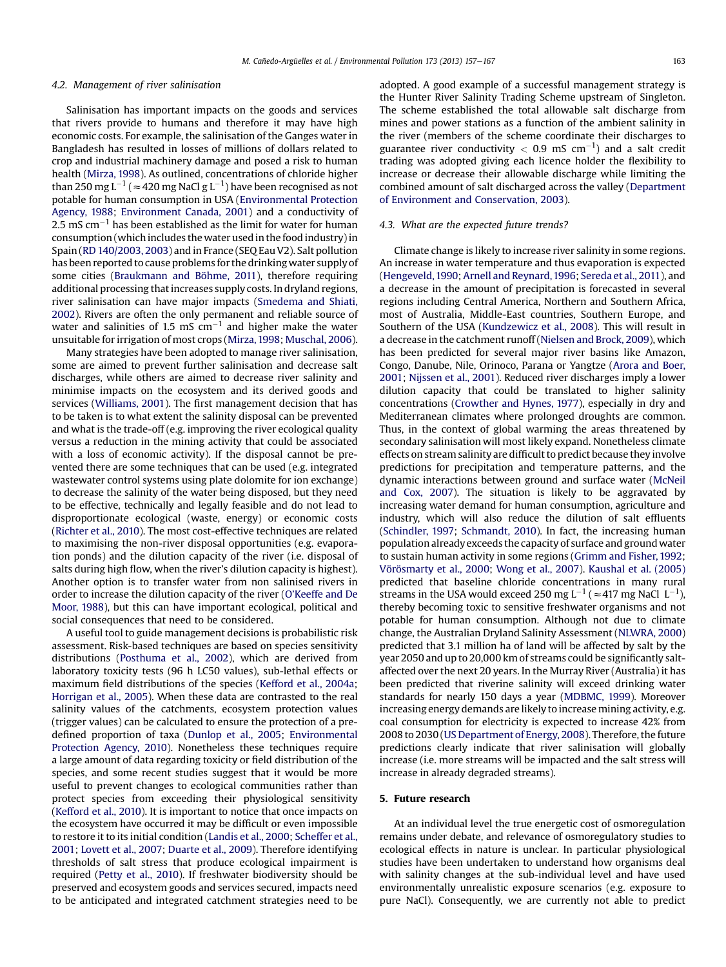#### 4.2. Management of river salinisation

Salinisation has important impacts on the goods and services that rivers provide to humans and therefore it may have high economic costs. For example, the salinisation of the Ganges water in Bangladesh has resulted in losses of millions of dollars related to crop and industrial machinery damage and posed a risk to human health ([Mirza, 1998](#page-9-0)). As outlined, concentrations of chloride higher than 250 mg L $^{-1}$  (  $\approx$  420 mg NaCl g L $^{-1}$ ) have been recognised as not potable for human consumption in USA ([Environmental Protection](#page-8-0) [Agency, 1988;](#page-8-0) [Environment Canada, 2001\)](#page-8-0) and a conductivity of 2.5 mS cm $^{-1}$  has been established as the limit for water for human consumption (which includes the water used in the food industry) in Spain ([RD 140/2003, 2003](#page-9-0)) and in France (SEQ Eau V2). Salt pollution has been reported to cause problems for the drinking water supply of some cities ([Braukmann and Böhme, 2011\)](#page-7-0), therefore requiring additional processing that increases supply costs. In dryland regions, river salinisation can have major impacts [\(Smedema and Shiati,](#page-10-0) [2002\)](#page-10-0). Rivers are often the only permanent and reliable source of water and salinities of 1.5 mS  $\text{cm}^{-1}$  and higher make the water unsuitable for irrigation of most crops ([Mirza,1998;](#page-9-0) [Muschal, 2006\)](#page-9-0).

Many strategies have been adopted to manage river salinisation, some are aimed to prevent further salinisation and decrease salt discharges, while others are aimed to decrease river salinity and minimise impacts on the ecosystem and its derived goods and services [\(Williams, 2001](#page-10-0)). The first management decision that has to be taken is to what extent the salinity disposal can be prevented and what is the trade-off (e.g. improving the river ecological quality versus a reduction in the mining activity that could be associated with a loss of economic activity). If the disposal cannot be prevented there are some techniques that can be used (e.g. integrated wastewater control systems using plate dolomite for ion exchange) to decrease the salinity of the water being disposed, but they need to be effective, technically and legally feasible and do not lead to disproportionate ecological (waste, energy) or economic costs ([Richter et al., 2010](#page-9-0)). The most cost-effective techniques are related to maximising the non-river disposal opportunities (e.g. evaporation ponds) and the dilution capacity of the river (i.e. disposal of salts during high flow, when the river's dilution capacity is highest). Another option is to transfer water from non salinised rivers in order to increase the dilution capacity of the river (O'[Keeffe and De](#page-9-0) [Moor, 1988](#page-9-0)), but this can have important ecological, political and social consequences that need to be considered.

A useful tool to guide management decisions is probabilistic risk assessment. Risk-based techniques are based on species sensitivity distributions [\(Posthuma et al., 2002\)](#page-9-0), which are derived from laboratory toxicity tests (96 h LC50 values), sub-lethal effects or maximum field distributions of the species [\(Kefford et al., 2004a;](#page-8-0) [Horrigan et al., 2005](#page-8-0)). When these data are contrasted to the real salinity values of the catchments, ecosystem protection values (trigger values) can be calculated to ensure the protection of a predefined proportion of taxa [\(Dunlop et al., 2005;](#page-8-0) [Environmental](#page-8-0) [Protection Agency, 2010\)](#page-8-0). Nonetheless these techniques require a large amount of data regarding toxicity or field distribution of the species, and some recent studies suggest that it would be more useful to prevent changes to ecological communities rather than protect species from exceeding their physiological sensitivity ([Kefford et al., 2010\)](#page-8-0). It is important to notice that once impacts on the ecosystem have occurred it may be difficult or even impossible to restore it to its initial condition [\(Landis et al., 2000;](#page-9-0) [Scheffer et al.,](#page-9-0) [2001;](#page-9-0) [Lovett et al., 2007](#page-9-0); [Duarte et al., 2009\)](#page-8-0). Therefore identifying thresholds of salt stress that produce ecological impairment is required [\(Petty et al., 2010\)](#page-9-0). If freshwater biodiversity should be preserved and ecosystem goods and services secured, impacts need to be anticipated and integrated catchment strategies need to be adopted. A good example of a successful management strategy is the Hunter River Salinity Trading Scheme upstream of Singleton. The scheme established the total allowable salt discharge from mines and power stations as a function of the ambient salinity in the river (members of the scheme coordinate their discharges to guarantee river conductivity  $<$  0.9 mS cm<sup>-1</sup>) and a salt credit trading was adopted giving each licence holder the flexibility to increase or decrease their allowable discharge while limiting the combined amount of salt discharged across the valley ([Department](#page-8-0) [of Environment and Conservation, 2003\)](#page-8-0).

#### 4.3. What are the expected future trends?

Climate change is likely to increase river salinity in some regions. An increase in water temperature and thus evaporation is expected ([Hengeveld,1990;](#page-8-0) [Arnell and Reynard,1996](#page-7-0); [Sereda et al., 2011](#page-10-0)), and a decrease in the amount of precipitation is forecasted in several regions including Central America, Northern and Southern Africa, most of Australia, Middle-East countries, Southern Europe, and Southern of the USA ([Kundzewicz et al., 2008](#page-9-0)). This will result in a decrease in the catchment runoff ([Nielsen and Brock, 2009\)](#page-9-0), which has been predicted for several major river basins like Amazon, Congo, Danube, Nile, Orinoco, Parana or Yangtze [\(Arora and Boer,](#page-7-0) [2001](#page-7-0); [Nijssen et al., 2001\)](#page-9-0). Reduced river discharges imply a lower dilution capacity that could be translated to higher salinity concentrations [\(Crowther and Hynes, 1977\)](#page-7-0), especially in dry and Mediterranean climates where prolonged droughts are common. Thus, in the context of global warming the areas threatened by secondary salinisation will most likely expand. Nonetheless climate effects on stream salinity are difficult to predict because they involve predictions for precipitation and temperature patterns, and the dynamic interactions between ground and surface water ([McNeil](#page-9-0) [and Cox, 2007\)](#page-9-0). The situation is likely to be aggravated by increasing water demand for human consumption, agriculture and industry, which will also reduce the dilution of salt effluents ([Schindler, 1997;](#page-9-0) [Schmandt, 2010](#page-9-0)). In fact, the increasing human population already exceeds the capacity of surface and ground water to sustain human activity in some regions [\(Grimm and Fisher, 1992;](#page-8-0) [Vörösmarty et al., 2000;](#page-10-0) [Wong et al., 2007](#page-10-0)). [Kaushal et al. \(2005\)](#page-8-0) predicted that baseline chloride concentrations in many rural streams in the USA would exceed 250 mg L<sup>-1</sup> (  $\approx$  417 mg NaCl L<sup>-1</sup>), thereby becoming toxic to sensitive freshwater organisms and not potable for human consumption. Although not due to climate change, the Australian Dryland Salinity Assessment [\(NLWRA, 2000\)](#page-9-0) predicted that 3.1 million ha of land will be affected by salt by the year 2050 and up to 20,000 km of streams could be significantly saltaffected over the next 20 years. In the Murray River (Australia) it has been predicted that riverine salinity will exceed drinking water standards for nearly 150 days a year ([MDBMC, 1999](#page-9-0)). Moreover increasing energy demands are likely to increase mining activity, e.g. coal consumption for electricity is expected to increase 42% from 2008 to 2030 [\(US Department of Energy, 2008\)](#page-10-0). Therefore, the future predictions clearly indicate that river salinisation will globally increase (i.e. more streams will be impacted and the salt stress will increase in already degraded streams).

#### 5. Future research

At an individual level the true energetic cost of osmoregulation remains under debate, and relevance of osmoregulatory studies to ecological effects in nature is unclear. In particular physiological studies have been undertaken to understand how organisms deal with salinity changes at the sub-individual level and have used environmentally unrealistic exposure scenarios (e.g. exposure to pure NaCl). Consequently, we are currently not able to predict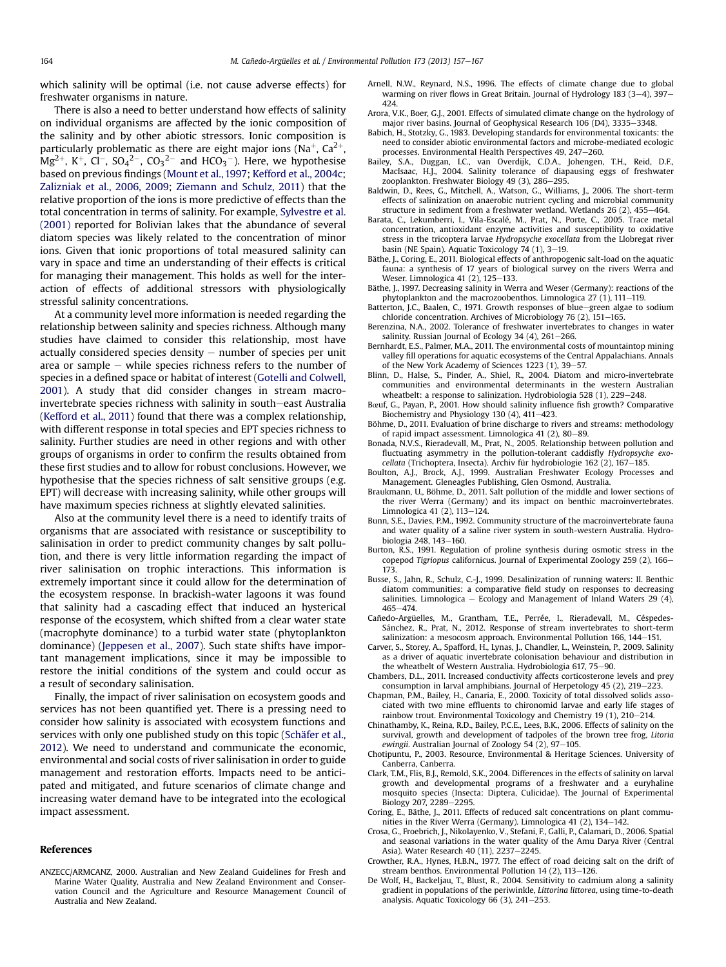<span id="page-7-0"></span>which salinity will be optimal (i.e. not cause adverse effects) for freshwater organisms in nature.

There is also a need to better understand how effects of salinity on individual organisms are affected by the ionic composition of the salinity and by other abiotic stressors. Ionic composition is particularly problematic as there are eight major ions (Na<sup>+</sup>, Ca<sup>2+</sup>,  $Mg^{2+}$ , K<sup>+</sup>, Cl<sup>-</sup>, SO<sub>4</sub><sup>2-</sup>, CO<sub>3</sub><sup>2-</sup> and HCO<sub>3</sub><sup>-</sup>). Here, we hypothesise based on previous findings [\(Mount et al., 1997;](#page-9-0) [Kefford et al., 2004c](#page-8-0); [Zalizniak et al., 2006, 2009;](#page-10-0) [Ziemann and Schulz, 2011\)](#page-10-0) that the relative proportion of the ions is more predictive of effects than the total concentration in terms of salinity. For example, [Sylvestre et al.](#page-10-0) [\(2001\)](#page-10-0) reported for Bolivian lakes that the abundance of several diatom species was likely related to the concentration of minor ions. Given that ionic proportions of total measured salinity can vary in space and time an understanding of their effects is critical for managing their management. This holds as well for the interaction of effects of additional stressors with physiologically stressful salinity concentrations.

At a community level more information is needed regarding the relationship between salinity and species richness. Although many studies have claimed to consider this relationship, most have actually considered species density  $-$  number of species per unit area or sample  $-$  while species richness refers to the number of species in a defined space or habitat of interest [\(Gotelli and Colwell,](#page-8-0) [2001\)](#page-8-0). A study that did consider changes in stream macroinvertebrate species richness with salinity in south-east Australia ([Kefford et al., 2011\)](#page-8-0) found that there was a complex relationship, with different response in total species and EPT species richness to salinity. Further studies are need in other regions and with other groups of organisms in order to confirm the results obtained from these first studies and to allow for robust conclusions. However, we hypothesise that the species richness of salt sensitive groups (e.g. EPT) will decrease with increasing salinity, while other groups will have maximum species richness at slightly elevated salinities.

Also at the community level there is a need to identify traits of organisms that are associated with resistance or susceptibility to salinisation in order to predict community changes by salt pollution, and there is very little information regarding the impact of river salinisation on trophic interactions. This information is extremely important since it could allow for the determination of the ecosystem response. In brackish-water lagoons it was found that salinity had a cascading effect that induced an hysterical response of the ecosystem, which shifted from a clear water state (macrophyte dominance) to a turbid water state (phytoplankton dominance) ([Jeppesen et al., 2007\)](#page-8-0). Such state shifts have important management implications, since it may be impossible to restore the initial conditions of the system and could occur as a result of secondary salinisation.

Finally, the impact of river salinisation on ecosystem goods and services has not been quantified yet. There is a pressing need to consider how salinity is associated with ecosystem functions and services with only one published study on this topic ([Schäfer et al.,](#page-9-0) [2012](#page-9-0)). We need to understand and communicate the economic, environmental and social costs of river salinisation in order to guide management and restoration efforts. Impacts need to be anticipated and mitigated, and future scenarios of climate change and increasing water demand have to be integrated into the ecological impact assessment.

#### References

ANZECC/ARMCANZ, 2000. Australian and New Zealand Guidelines for Fresh and Marine Water Quality, Australia and New Zealand Environment and Conservation Council and the Agriculture and Resource Management Council of Australia and New Zealand.

- Arnell, N.W., Reynard, N.S., 1996. The effects of climate change due to global warming on river flows in Great Britain. Journal of Hydrology  $183 (3-4)$ ,  $397-$ 424.
- Arora, V.K., Boer, G.J., 2001. Effects of simulated climate change on the hydrology of major river basins. Journal of Geophysical Research 106  $(D4)$ , 3335-3348.
- Babich, H., Stotzky, G., 1983. Developing standards for environmental toxicants: the need to consider abiotic environmental factors and microbe-mediated ecologic processes. Environmental Health Perspectives 49, 247-260.
- Bailey, S.A., Duggan, I.C., van Overdijk, C.D.A., Johengen, T.H., Reid, D.F., MacIsaac, H.J., 2004. Salinity tolerance of diapausing eggs of freshwater
- zooplankton. Freshwater Biology 49 (3), 286–295.<br>Baldwin, D., Rees, G., Mitchell, A., Watson, G., Williams, J., 2006. The short-term effects of salinization on anaerobic nutrient cycling and microbial community structure in sediment from a freshwater wetland. Wetlands  $26(2)$ ,  $455-464$ .
- Barata, C., Lekumberri, I., Vila-Escalé, M., Prat, N., Porte, C., 2005. Trace metal concentration, antioxidant enzyme activities and susceptibility to oxidative stress in the tricoptera larvae Hydropsyche exocellata from the Llobregat river basin (NE Spain). Aquatic Toxicology 74 (1), 3-19.
- Bäthe, J., Coring, E., 2011. Biological effects of anthropogenic salt-load on the aquatic fauna: a synthesis of 17 years of biological survey on the rivers Werra and Weser, Limnologica 41 (2), 125-133.
- Bäthe, J., 1997. Decreasing salinity in Werra and Weser (Germany): reactions of the phytoplankton and the macrozoobenthos. Limnologica  $27(1)$ ,  $111-119$ .
- Batterton, J.C., Baalen, C., 1971. Growth responses of blue-green algae to sodium chloride concentration. Archives of Microbiology 76 (2),  $151-165$ .
- Berenzina, N.A., 2002. Tolerance of freshwater invertebrates to changes in water salinity. Russian Journal of Ecology 34 (4), 261-266.
- Bernhardt, E.S., Palmer, M.A., 2011. The environmental costs of mountaintop mining valley fill operations for aquatic ecosystems of the Central Appalachians. Annals of the New York Academy of Sciences 1223 (1), 39-57.
- Blinn, D., Halse, S., Pinder, A., Shiel, R., 2004. Diatom and micro-invertebrate communities and environmental determinants in the western Australian wheatbelt: a response to salinization. Hydrobiologia 528 (1), 229-248.
- Bœuf, G., Payan, P., 2001. How should salinity influence fish growth? Comparative Biochemistry and Physiology 130 (4), 411-423.
- Böhme, D., 2011. Evaluation of brine discharge to rivers and streams: methodology of rapid impact assessment. Limnologica 41 (2), 80-89.
- Bonada, N.V.S., Rieradevall, M., Prat, N., 2005. Relationship between pollution and fluctuating asymmetry in the pollution-tolerant caddisfly Hydropsyche exocellata (Trichoptera, Insecta). Archiv für hydrobiologie 162 (2), 167-185.
- Boulton, A.J., Brock, A.J., 1999. Australian Freshwater Ecology Processes and Management. Gleneagles Publishing, Glen Osmond, Australia.
- Braukmann, U., Böhme, D., 2011. Salt pollution of the middle and lower sections of the river Werra (Germany) and its impact on benthic macroinvertebrates. Limnologica 41 $(2)$ , 113-124.
- Bunn, S.E., Davies, P.M., 1992. Community structure of the macroinvertebrate fauna and water quality of a saline river system in south-western Australia. Hydrobiologia 248, 143-160.
- Burton, R.S., 1991. Regulation of proline synthesis during osmotic stress in the copepod Tigriopus californicus. Journal of Experimental Zoology 259 (2), 166-173.
- Busse, S., Jahn, R., Schulz, C.-J., 1999. Desalinization of running waters: II. Benthic diatom communities: a comparative field study on responses to decreasing salinities. Limnologica  $-$  Ecology and Management of Inland Waters 29 (4), 465-474
- Cañedo-Argüelles, M., Grantham, T.E., Perrée, I., Rieradevall, M., Céspedes-Sánchez, R., Prat, N., 2012. Response of stream invertebrates to short-term salinization: a mesocosm approach. Environmental Pollution 166, 144-151.
- Carver, S., Storey, A., Spafford, H., Lynas, J., Chandler, L., Weinstein, P., 2009. Salinity as a driver of aquatic invertebrate colonisation behaviour and distribution in the wheatbelt of Western Australia. Hydrobiologia 617, 75-90.
- Chambers, D.L., 2011. Increased conductivity affects corticosterone levels and prey consumption in larval amphibians. Journal of Herpetology 45 (2), 219-223.
- Chapman, P.M., Bailey, H., Canaria, E., 2000. Toxicity of total dissolved solids associated with two mine effluents to chironomid larvae and early life stages of rainbow trout. Environmental Toxicology and Chemistry 19 (1), 210-214.
- Chinathamby, K., Reina, R.D., Bailey, P.C.E., Lees, B.K., 2006. Effects of salinity on the survival, growth and development of tadpoles of the brown tree frog, Litoria ewingii. Australian Journal of Zoology 54  $(2)$ , 97-105.
- Chotipuntu, P., 2003. Resource, Environmental & Heritage Sciences. University of Canberra, Canberra.
- Clark, T.M., Flis, B.J., Remold, S.K., 2004. Differences in the effects of salinity on larval growth and developmental programs of a freshwater and a euryhaline mosquito species (Insecta: Diptera, Culicidae). The Journal of Experimental Biology 207, 2289-2295.
- Coring, E., Bäthe, J., 2011. Effects of reduced salt concentrations on plant communities in the River Werra (Germany). Limnologica  $41$  (2),  $134-142$ .
- Crosa, G., Froebrich, J., Nikolayenko, V., Stefani, F., Galli, P., Calamari, D., 2006. Spatial and seasonal variations in the water quality of the Amu Darya River (Central Asia). Water Research 40 (11), 2237-2245.
- Crowther, R.A., Hynes, H.B.N., 1977. The effect of road deicing salt on the drift of stream benthos. Environmental Pollution  $14$  (2),  $113-126$ .
- De Wolf, H., Backeljau, T., Blust, R., 2004. Sensitivity to cadmium along a salinity gradient in populations of the periwinkle, Littorina littorea, using time-to-death analysis. Aquatic Toxicology 66  $(3)$ , 241–253.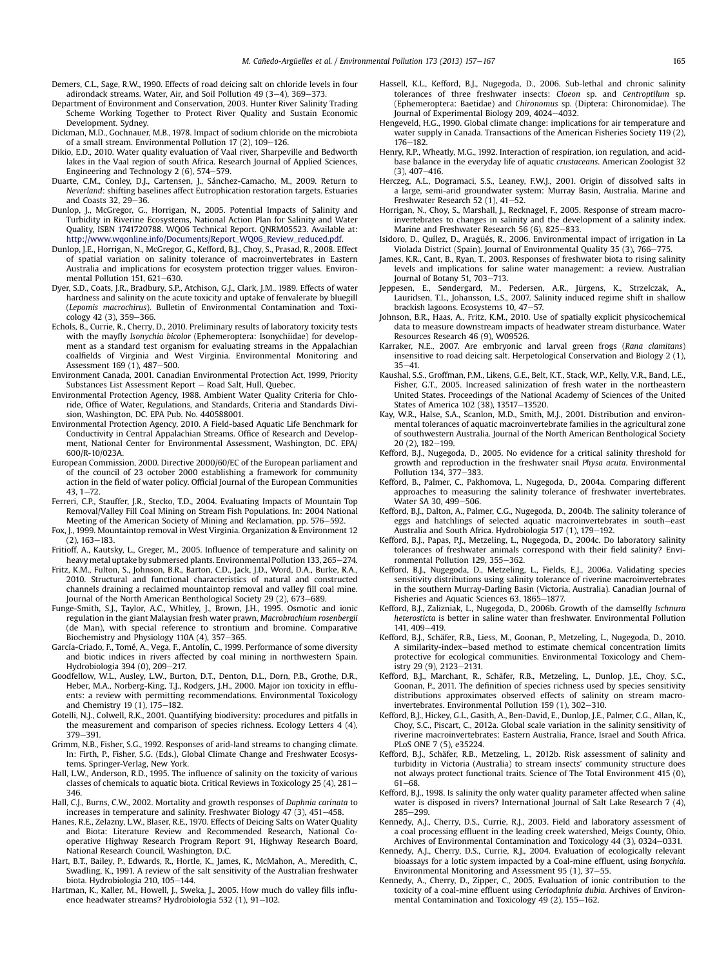- <span id="page-8-0"></span>Demers, C.L., Sage, R.W., 1990. Effects of road deicing salt on chloride levels in four adirondack streams. Water, Air, and Soil Pollution 49 (3-4), 369-373.
- Department of Environment and Conservation, 2003. Hunter River Salinity Trading Scheme Working Together to Protect River Quality and Sustain Economic Development. Sydney.
- Dickman, M.D., Gochnauer, M.B., 1978. Impact of sodium chloride on the microbiota of a small stream. Environmental Pollution 17 (2),  $109-126$ .
- Dikio, E.D., 2010. Water quality evaluation of Vaal river, Sharpeville and Bedworth lakes in the Vaal region of south Africa. Research Journal of Applied Sciences, Engineering and Technology 2 (6), 574-579.
- Duarte, C.M., Conley, D.J., Cartensen, J., Sánchez-Camacho, M., 2009. Return to Neverland: shifting baselines affect Eutrophication restoration targets. Estuaries and Coasts  $32, 29-36$ .
- Dunlop, J., McGregor, G., Horrigan, N., 2005. Potential Impacts of Salinity and Turbidity in Riverine Ecosystems, National Action Plan for Salinity and Water Quality, ISBN 1741720788. WQ06 Technical Report. QNRM05523. Available at: [http://www.wqonline.info/Documents/Report\\_WQ06\\_Review\\_reduced.pdf](http://www.wqonline.info/Documents/Report_WQ06_Review_reduced.pdf).
- Dunlop, J.E., Horrigan, N., McGregor, G., Kefford, B.J., Choy, S., Prasad, R., 2008. Effect of spatial variation on salinity tolerance of macroinvertebrates in Eastern Australia and implications for ecosystem protection trigger values. Environmental Pollution  $151.621 - 630$ .
- Dyer, S.D., Coats, J.R., Bradbury, S.P., Atchison, G.J., Clark, J.M., 1989. Effects of water hardness and salinity on the acute toxicity and uptake of fenvalerate by bluegill (Lepomis macrochirus). Bulletin of Environmental Contamination and Toxicology 42 (3), 359-366.
- Echols, B., Currie, R., Cherry, D., 2010. Preliminary results of laboratory toxicity tests with the mayfly Isonychia bicolor (Ephemeroptera: Isonychiidae) for development as a standard test organism for evaluating streams in the Appalachian coalfields of Virginia and West Virginia. Environmental Monitoring and Assessment 169 (1), 487-500.
- Environment Canada, 2001. Canadian Environmental Protection Act, 1999, Priority Substances List Assessment Report - Road Salt, Hull, Quebec.
- Environmental Protection Agency, 1988. Ambient Water Quality Criteria for Chloride, Office of Water, Regulations, and Standards, Criteria and Standards Division, Washington, DC. EPA Pub. No. 440588001.
- Environmental Protection Agency, 2010. A Field-based Aquatic Life Benchmark for Conductivity in Central Appalachian Streams. Office of Research and Development, National Center for Environmental Assessment, Washington, DC. EPA/ 600/R-10/023A.
- European Commission, 2000. Directive 2000/60/EC of the European parliament and of the council of 23 october 2000 establishing a framework for community action in the field of water policy. Official Journal of the European Communities  $43, 1 - 72.$
- Ferreri, C.P., Stauffer, J.R., Stecko, T.D., 2004. Evaluating Impacts of Mountain Top Removal/Valley Fill Coal Mining on Stream Fish Populations. In: 2004 National Meeting of the American Society of Mining and Reclamation, pp. 576-592.
- Fox, J., 1999. Mountaintop removal in West Virginia. Organization & Environment 12  $(2)$ , 163-183.
- Fritioff, A., Kautsky, L., Greger, M., 2005. Influence of temperature and salinity on heavy metal uptake by submersed plants. Environmental Pollution 133, 265-274.
- Fritz, K.M., Fulton, S., Johnson, B.R., Barton, C.D., Jack, J.D., Word, D.A., Burke, R.A., 2010. Structural and functional characteristics of natural and constructed channels draining a reclaimed mountaintop removal and valley fill coal mine. Journal of the North American Benthological Society 29 (2), 673-689.
- Funge-Smith, S.J., Taylor, A.C., Whitley, J., Brown, J.H., 1995. Osmotic and ionic regulation in the giant Malaysian fresh water prawn, Macrobrachium rosenbergii (de Man), with special reference to strontium and bromine. Comparative Biochemistry and Physiology 110A (4), 357-365.
- García-Criado, F., Tomé, A., Vega, F., Antolín, C., 1999. Performance of some diversity and biotic indices in rivers affected by coal mining in northwestern Spain. Hydrobiologia 394 (0), 209-217.
- Goodfellow, W.L., Ausley, L.W., Burton, D.T., Denton, D.L., Dorn, P.B., Grothe, D.R., Heber, M.A., Norberg-King, T.J., Rodgers, J.H., 2000. Major ion toxicity in effluents: a review with permitting recommendations. Environmental Toxicology and Chemistry 19  $(1)$ , 175-182.
- Gotelli, N.J., Colwell, R.K., 2001. Quantifying biodiversity: procedures and pitfalls in the measurement and comparison of species richness. Ecology Letters 4 (4), 379-391.
- Grimm, N.B., Fisher, S.G., 1992. Responses of arid-land streams to changing climate. In: Firth, P., Fisher, S.G. (Eds.), Global Climate Change and Freshwater Ecosystems. Springer-Verlag, New York.
- Hall, L.W., Anderson, R.D., 1995. The influence of salinity on the toxicity of various classes of chemicals to aquatic biota. Critical Reviews in Toxicology 25 (4),  $281-$ 346.
- Hall, C.J., Burns, C.W., 2002. Mortality and growth responses of Daphnia carinata to increases in temperature and salinity. Freshwater Biology 47  $(3)$ , 451-458.
- Hanes, R.E., Zelazny, L.W., Blaser, R.E., 1970. Effects of Deicing Salts on Water Quality and Biota: Literature Review and Recommended Research, National Cooperative Highway Research Program Report 91, Highway Research Board, National Research Council, Washington, D.C.
- Hart, B.T., Bailey, P., Edwards, R., Hortle, K., James, K., McMahon, A., Meredith, C., Swadling, K., 1991. A review of the salt sensitivity of the Australian freshwater biota. Hydrobiologia 210, 105-144.
- Hartman, K., Kaller, M., Howell, J., Sweka, J., 2005. How much do valley fills influence headwater streams? Hydrobiologia 532 (1), 91-102.
- Hassell, K.L., Kefford, B.J., Nugegoda, D., 2006. Sub-lethal and chronic salinity tolerances of three freshwater insects: Cloeon sp. and Centroptilum sp. (Ephemeroptera: Baetidae) and Chironomus sp. (Diptera: Chironomidae). The Journal of Experimental Biology 209,  $4024-4032$ .
- Hengeveld, H.G., 1990. Global climate change: implications for air temperature and water supply in Canada. Transactions of the American Fisheries Society 119 (2),  $176 - 182$
- Henry, R.P., Wheatly, M.G., 1992. Interaction of respiration, ion regulation, and acidbase balance in the everyday life of aquatic crustaceans. American Zoologist 32  $(3), 407 - 416.$
- Herczeg, A.L., Dogramaci, S.S., Leaney, F.W.J., 2001. Origin of dissolved salts in a large, semi-arid groundwater system: Murray Basin, Australia. Marine and Freshwater Research 52  $(1)$ , 41-52.
- Horrigan, N., Choy, S., Marshall, J., Recknagel, F., 2005. Response of stream macroinvertebrates to changes in salinity and the development of a salinity index. Marine and Freshwater Research 56 (6), 825–833.
- Isidoro, D., Quílez, D., Aragüés, R., 2006. Environmental impact of irrigation in La Violada District (Spain). Journal of Environmental Quality 35 (3), 766-775.
- James, K.R., Cant, B., Ryan, T., 2003. Responses of freshwater biota to rising salinity levels and implications for saline water management: a review. Australian Journal of Botany 51, 703-713.
- Jeppesen, E., Søndergard, M., Pedersen, A.R., Jürgens, K., Strzelczak, A., Lauridsen, T.L., Johansson, L.S., 2007. Salinity induced regime shift in shallow brackish lagoons. Ecosystems  $10.47-57.$
- Johnson, B.R., Haas, A., Fritz, K.M., 2010. Use of spatially explicit physicochemical data to measure downstream impacts of headwater stream disturbance. Water Resources Research 46 (9), W09526.
- Karraker, N.E., 2007. Are embryonic and larval green frogs (Rana clamitans) insensitive to road deicing salt. Herpetological Conservation and Biology 2 (1),  $35 - 41$
- Kaushal, S.S., Groffman, P.M., Likens, G.E., Belt, K.T., Stack, W.P., Kelly, V.R., Band, L.E., Fisher, G.T., 2005. Increased salinization of fresh water in the northeastern United States. Proceedings of the National Academy of Sciences of the United States of America 102 (38), 13517-13520.
- Kay, W.R., Halse, S.A., Scanlon, M.D., Smith, M.J., 2001. Distribution and environmental tolerances of aquatic macroinvertebrate families in the agricultural zone of southwestern Australia. Journal of the North American Benthological Society 20 (2), 182-199.
- Kefford, B.J., Nugegoda, D., 2005. No evidence for a critical salinity threshold for growth and reproduction in the freshwater snail Physa acuta. Environmental Pollution 134, 377-383.
- Kefford, B., Palmer, C., Pakhomova, L., Nugegoda, D., 2004a. Comparing different approaches to measuring the salinity tolerance of freshwater invertebrates. Water SA 30, 499-506.
- Kefford, B.J., Dalton, A., Palmer, C.G., Nugegoda, D., 2004b. The salinity tolerance of eggs and hatchlings of selected aquatic macroinvertebrates in south-east Australia and South Africa. Hydrobiologia 517 (1), 179-192.
- Kefford, B.J., Papas, P.J., Metzeling, L., Nugegoda, D., 2004c. Do laboratory salinity tolerances of freshwater animals correspond with their field salinity? Environmental Pollution 129, 355-362.
- Kefford, B.J., Nugegoda, D., Metzeling, L., Fields, E.J., 2006a. Validating species sensitivity distributions using salinity tolerance of riverine macroinvertebrates in the southern Murray-Darling Basin (Victoria, Australia). Canadian Journal of Fisheries and Aquatic Sciences 63, 1865-1877.
- Kefford, B.J., Zalizniak, L., Nugegoda, D., 2006b. Growth of the damselfly Ischnura heterosticta is better in saline water than freshwater. Environmental Pollution 141, 409-419
- Kefford, B.J., Schäfer, R.B., Liess, M., Goonan, P., Metzeling, L., Nugegoda, D., 2010. A similarity-index-based method to estimate chemical concentration limits protective for ecological communities. Environmental Toxicology and Chemistry 29 (9), 2123-2131.
- Kefford, B.J., Marchant, R., Schäfer, R.B., Metzeling, L., Dunlop, J.E., Choy, S.C., Goonan, P., 2011. The definition of species richness used by species sensitivity distributions approximates observed effects of salinity on stream macroinvertebrates. Environmental Pollution 159 (1), 302-310.
- Kefford, B.J., Hickey, G.L., Gasith, A., Ben-David, E., Dunlop, J.E., Palmer, C.G., Allan, K., Choy, S.C., Piscart, C., 2012a. Global scale variation in the salinity sensitivity of riverine macroinvertebrates: Eastern Australia, France, Israel and South Africa. PLoS ONE 7 (5), e35224.
- Kefford, B.J., Schäfer, R.B., Metzeling, L., 2012b. Risk assessment of salinity and turbidity in Victoria (Australia) to stream insects' community structure does not always protect functional traits. Science of The Total Environment 415 (0),  $61 - 68.$
- Kefford, B.J., 1998. Is salinity the only water quality parameter affected when saline water is disposed in rivers? International Journal of Salt Lake Research 7 (4),  $285 - 299.$
- Kennedy, A.J., Cherry, D.S., Currie, R.J., 2003. Field and laboratory assessment of a coal processing effluent in the leading creek watershed, Meigs County, Ohio. Archives of Environmental Contamination and Toxicology  $44$  (3), 0324-0331.
- Kennedy, A.J., Cherry, D.S., Currie, R.J., 2004. Evaluation of ecologically relevant bioassays for a lotic system impacted by a Coal-mine effluent, using Isonychia. Environmental Monitoring and Assessment 95  $(1)$ , 37-55.
- Kennedy, A., Cherry, D., Zipper, C., 2005. Evaluation of ionic contribution to the toxicity of a coal-mine effluent using Ceriodaphnia dubia. Archives of Environmental Contamination and Toxicology 49 (2), 155-162.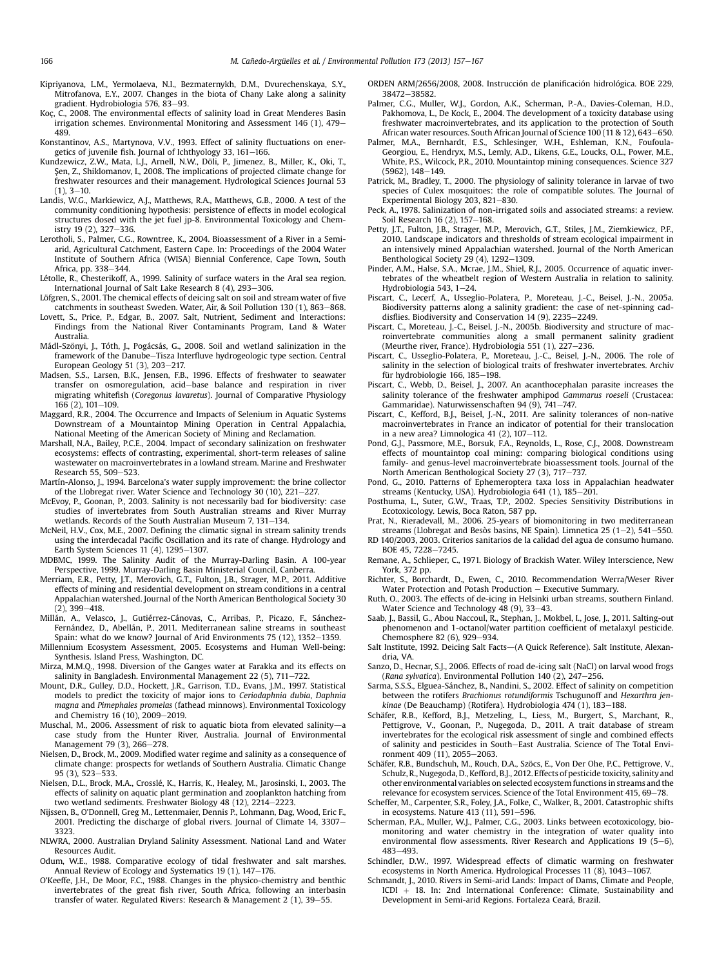- <span id="page-9-0"></span>Kipriyanova, L.M., Yermolaeva, N.I., Bezmaternykh, D.M., Dvurechenskaya, S.Y., Mitrofanova, E.Y., 2007. Changes in the biota of Chany Lake along a salinity gradient. Hydrobiologia 576, 83-93.
- Koç, C., 2008. The environmental effects of salinity load in Great Menderes Basin irrigation schemes. Environmental Monitoring and Assessment 146 (1), 479-489.
- Konstantinov, A.S., Martynova, V.V., 1993. Effect of salinity fluctuations on energetics of juvenile fish. Journal of Ichthyology 33, 161–166.<br>Kundzewicz, Z.W., Mata, L.J., Arnell, N.W., Döli, P., Jimenez, B., Miller, K., Oki, T.,
- Sen, Z., Shiklomanov, I., 2008. The implications of projected climate change for freshwater resources and their management. Hydrological Sciences Journal 53  $(1), 3-10.$
- Landis, W.G., Markiewicz, A.J., Matthews, R.A., Matthews, G.B., 2000. A test of the community conditioning hypothesis: persistence of effects in model ecological structures dosed with the jet fuel jp-8. Environmental Toxicology and Chemistry 19 (2), 327-336.
- Lerotholi, S., Palmer, C.G., Rowntree, K., 2004. Bioassessment of a River in a Semiarid, Agricultural Catchment, Eastern Cape. In: Proceedings of the 2004 Water Institute of Southern Africa (WISA) Biennial Conference, Cape Town, South Africa, pp. 338-344.
- Létolle, R., Chesterikoff, A., 1999. Salinity of surface waters in the Aral sea region. International Journal of Salt Lake Research 8  $(4)$ , 293-306.
- Löfgren, S., 2001. The chemical effects of deicing salt on soil and stream water of five catchments in southeast Sweden. Water, Air, & Soil Pollution 130 (1), 863-868.
- Lovett, S., Price, P., Edgar, B., 2007. Salt, Nutrient, Sediment and Interactions: Findings from the National River Contaminants Program, Land & Water Australia.
- Mádl-Szőnyi, J., Tóth, J., Pogácsás, G., 2008. Soil and wetland salinization in the framework of the Danube-Tisza Interfluve hydrogeologic type section. Central European Geology 51 (3), 203-217.
- Madsen, S.S., Larsen, B.K., Jensen, F.B., 1996. Effects of freshwater to seawater transfer on osmoregulation, acid-base balance and respiration in river migrating whitefish (Coregonus lavaretus). Journal of Comparative Physiology  $166(2)$ ,  $101-109$ .
- Maggard, R.R., 2004. The Occurrence and Impacts of Selenium in Aquatic Systems Downstream of a Mountaintop Mining Operation in Central Appalachia, National Meeting of the American Society of Mining and Reclamation.
- Marshall, N.A., Bailey, P.C.E., 2004. Impact of secondary salinization on freshwater ecosystems: effects of contrasting, experimental, short-term releases of saline wastewater on macroinvertebrates in a lowland stream. Marine and Freshwater Research 55, 509-523.
- Martín-Alonso, J., 1994. Barcelona's water supply improvement: the brine collector of the Llobregat river. Water Science and Technology 30 (10), 221-227.
- McEvoy, P., Goonan, P., 2003. Salinity is not necessarily bad for biodiversity: case studies of invertebrates from South Australian streams and River Murray wetlands. Records of the South Australian Museum 7, 131-134.
- McNeil, H.V., Cox, M.E., 2007. Defining the climatic signal in stream salinity trends using the interdecadal Pacific Oscillation and its rate of change. Hydrology and Earth System Sciences 11 (4), 1295-1307.
- MDBMC, 1999. The Salinity Audit of the Murray-Darling Basin. A 100-year Perspective, 1999. Murray-Darling Basin Ministerial Council, Canberra.
- Merriam, E.R., Petty, J.T., Merovich, G.T., Fulton, J.B., Strager, M.P., 2011. Additive effects of mining and residential development on stream conditions in a central Appalachian watershed. Journal of the North American Benthological Society 30  $(2)$ , 399-418.
- Millán, A., Velasco, J., Gutiérrez-Cánovas, C., Arribas, P., Picazo, F., Sánchez-Fernández, D., Abellán, P., 2011. Mediterranean saline streams in southeast Spain: what do we know? Journal of Arid Environments 75 (12), 1352-1359.
- Millennium Ecosystem Assessment, 2005. Ecosystems and Human Well-being: Synthesis. Island Press, Washington, DC.
- Mirza, M.M.Q., 1998. Diversion of the Ganges water at Farakka and its effects on salinity in Bangladesh. Environmental Management 22 (5), 711-722.
- Mount, D.R., Gulley, D.D., Hockett, J.R., Garrison, T.D., Evans, J.M., 1997. Statistical models to predict the toxicity of major ions to Ceriodaphnia dubia, Daphnia magna and Pimephales promelas (fathead minnows). Environmental Toxicology and Chemistry 16 (10), 2009-2019.
- Muschal, M., 2006. Assessment of risk to aquatic biota from elevated salinity-a case study from the Hunter River, Australia. Journal of Environmental Management 79 (3), 266-278.
- Nielsen, D., Brock, M., 2009. Modified water regime and salinity as a consequence of climate change: prospects for wetlands of Southern Australia. Climatic Change  $95(3)$ , 523 $-533$ .
- Nielsen, D.L., Brock, M.A., Crosslé, K., Harris, K., Healey, M., Jarosinski, I., 2003. The effects of salinity on aquatic plant germination and zooplankton hatching from two wetland sediments. Freshwater Biology 48 (12), 2214-2223.
- Nijssen, B., O'Donnell, Greg M., Lettenmaier, Dennis P., Lohmann, Dag, Wood, Eric F., 2001. Predicting the discharge of global rivers. Journal of Climate 14, 3307-3323.
- NLWRA, 2000. Australian Dryland Salinity Assessment. National Land and Water Resources Audit.
- Odum, W.E., 1988. Comparative ecology of tidal freshwater and salt marshes. Annual Review of Ecology and Systematics  $19(1)$ ,  $147-176$ .
- O'Keeffe, J.H., De Moor, F.C., 1988. Changes in the physico-chemistry and benthic invertebrates of the great fish river, South Africa, following an interbasin transfer of water. Regulated Rivers: Research & Management 2 (1), 39-55.
- ORDEN ARM/2656/2008, 2008. Instrucción de planificación hidrológica. BOE 229, 38472-38582
- Palmer, C.G., Muller, W.J., Gordon, A.K., Scherman, P.-A., Davies-Coleman, H.D., Pakhomova, L., De Kock, E., 2004. The development of a toxicity database using freshwater macroinvertebrates, and its application to the protection of South African water resources. South African Journal of Science  $100(11 \& 12)$ , 643-650.
- Palmer, M.A., Bernhardt, E.S., Schlesinger, W.H., Eshleman, K.N., Foufoula-Georgiou, E., Hendryx, M.S., Lemly, A.D., Likens, G.E., Loucks, O.L., Power, M.E., White, P.S., Wilcock, P.R., 2010. Mountaintop mining consequences. Science 327  $(5962)$ ,  $148-149$ .
- Patrick, M., Bradley, T., 2000. The physiology of salinity tolerance in larvae of two species of Culex mosquitoes: the role of compatible solutes. The Journal of Experimental Biology 203, 821-830.
- Peck, A., 1978. Salinization of non-irrigated soils and associated streams: a review. Soil Research 16 (2), 157-168.
- Petty, J.T., Fulton, J.B., Strager, M.P., Merovich, G.T., Stiles, J.M., Ziemkiewicz, P.F., 2010. Landscape indicators and thresholds of stream ecological impairment in an intensively mined Appalachian watershed. Journal of the North American Benthological Society 29  $(4)$ , 1292-1309.
- Pinder, A.M., Halse, S.A., Mcrae, J.M., Shiel, R.J., 2005. Occurrence of aquatic invertebrates of the wheatbelt region of Western Australia in relation to salinity. Hydrobiologia 543,  $1-24$ .
- Piscart, C., Lecerf, A., Usseglio-Polatera, P., Moreteau, J.-C., Beisel, J.-N., 2005a. Biodiversity patterns along a salinity gradient: the case of net-spinning caddisflies. Biodiversity and Conservation 14 (9), 2235-2249.
- Piscart, C., Moreteau, J.-C., Beisel, J.-N., 2005b. Biodiversity and structure of macroinvertebrate communities along a small permanent salinity gradient<br>(Meurthe-river, France). Hydrobiologia 551 (1), 227–236.
- Piscart, C., Usseglio-Polatera, P., Moreteau, J.-C., Beisel, J.-N., 2006. The role of salinity in the selection of biological traits of freshwater invertebrates. Archiv für hydrobiologie 166, 185-198.
- Piscart, C., Webb, D., Beisel, J., 2007. An acanthocephalan parasite increases the salinity tolerance of the freshwater amphipod Gammarus roeseli (Crustacea: Gammaridae). Naturwissenschaften 94 (9), 741-747.
- Piscart, C., Kefford, B.J., Beisel, J.-N., 2011. Are salinity tolerances of non-native macroinvertebrates in France an indicator of potential for their translocation in a new area? Limnologica 41 $(2)$ , 107-112.
- Pond, G.J., Passmore, M.E., Borsuk, F.A., Reynolds, L., Rose, C.J., 2008. Downstream effects of mountaintop coal mining: comparing biological conditions using family- and genus-level macroinvertebrate bioassessment tools. Journal of the North American Benthological Society 27 (3), 717-737.
- Pond, G., 2010. Patterns of Ephemeroptera taxa loss in Appalachian headwater streams (Kentucky, USA). Hydrobiologia 641 (1), 185-201.
- Posthuma, L., Suter, G.W., Traas, T.P., 2002. Species Sensitivity Distributions in Ecotoxicology. Lewis, Boca Raton, 587 pp.
- Prat, N., Rieradevall, M., 2006. 25-years of biomonitoring in two mediterranean streams (Llobregat and Besòs basins, NE Spain). Limnetica  $25(1-2)$ ,  $541-550$ .
- RD 140/2003, 2003. Criterios sanitarios de la calidad del agua de consumo humano. BOE 45, 7228-7245.
- Remane, A., Schlieper, C., 1971. Biology of Brackish Water. Wiley Interscience, New York, 372 pp.
- Richter, S., Borchardt, D., Ewen, C., 2010. Recommendation Werra/Weser River Water Protection and Potash Production  $-$  Executive Summary.
- Ruth, O., 2003. The effects of de-icing in Helsinki urban streams, southern Finland. Water Science and Technology 48 (9), 33-43.
- Saab, J., Bassil, G., Abou Naccoul, R., Stephan, J., Mokbel, I., Jose, J., 2011. Salting-out phenomenon and 1-octanol/water partition coefficient of metalaxyl pesticide. Chemosphere 82 (6), 929-934.
- Salt Institute, 1992. Deicing Salt Facts-(A Quick Reference). Salt Institute, Alexandria, VA.
- Sanzo, D., Hecnar, S.J., 2006. Effects of road de-icing salt (NaCl) on larval wood frogs (Rana sylvatica). Environmental Pollution 140  $(2)$ , 247-256.
- Sarma, S.S.S., Elguea-Sánchez, B., Nandini, S., 2002. Effect of salinity on competition between the rotifers Brachionus rotundiformis Tschugunoff and Hexarthra jenkinae (De Beauchamp) (Rotifera). Hydrobiologia 474  $(1)$ , 183-188.
- Schäfer, R.B., Kefford, B.J., Metzeling, L., Liess, M., Burgert, S., Marchant, R., Pettigrove, V., Goonan, P., Nugegoda, D., 2011. A trait database of stream invertebrates for the ecological risk assessment of single and combined effects of salinity and pesticides in South-East Australia. Science of The Total Environment 409 (11), 2055-2063.
- Schäfer, R.B., Bundschuh, M., Rouch, D.A., Szöcs, E., Von Der Ohe, P.C., Pettigrove, V., Schulz, R., Nugegoda, D., Kefford, B.J., 2012. Effects of pesticide toxicity, salinity and other environmental variables on selected ecosystem functions in streams and the relevance for ecosystem services. Science of the Total Environment 415, 69-78.
- Scheffer, M., Carpenter, S.R., Foley, J.A., Folke, C., Walker, B., 2001. Catastrophic shifts in ecosystems. Nature  $413(11)$ , 591-596.
- Scherman, P.A., Muller, W.J., Palmer, C.G., 2003. Links between ecotoxicology, biomonitoring and water chemistry in the integration of water quality into environmental flow assessments. River Research and Applications 19  $(5-6)$ , 483-493.
- Schindler, D.W., 1997. Widespread effects of climatic warming on freshwater ecosystems in North America. Hydrological Processes 11 (8), 1043-1067.
- Schmandt, J., 2010. Rivers in Semi-arid Lands: Impact of Dams, Climate and People,  $ICDI + 18$ . In: 2nd International Conference: Climate, Sustainability and Development in Semi-arid Regions. Fortaleza Ceará, Brazil.